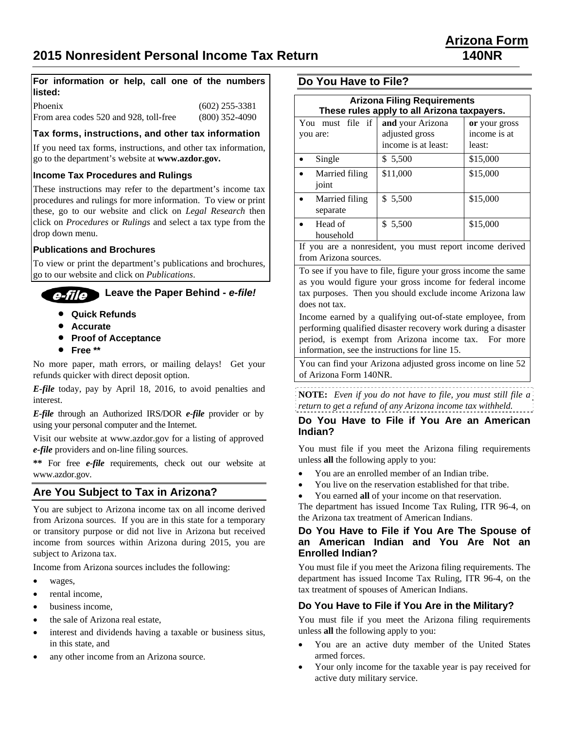#### **For information or help, call one of the numbers listed:**

Phoenix (602) 255-3381 From area codes 520 and 928, toll-free (800) 352-4090

**Tax forms, instructions, and other tax information** 

If you need tax forms, instructions, and other tax information, go to the department's website at **www.azdor.gov.**

#### **Income Tax Procedures and Rulings**

These instructions may refer to the department's income tax procedures and rulings for more information. To view or print these, go to our website and click on *Legal Research* then click on *Procedures* or *Rulings* and select a tax type from the drop down menu.

#### **Publications and Brochures**

To view or print the department's publications and brochures, go to our website and click on *Publications*.

#### **Leave the Paper Behind -** *e-file!*  e-file D

- **Quick Refunds**
- **Accurate**
- **Proof of Acceptance**
- **Free \*\***

No more paper, math errors, or mailing delays!Get your refunds quicker with direct deposit option.

*E-file* today, pay by April 18, 2016, to avoid penalties and interest.

*E-file* through an Authorized IRS/DOR *e-file* provider or by using your personal computer and the Internet.

Visit our website at www.azdor.gov for a listing of approved *e-file* providers and on-line filing sources.

**\*\*** For free *e-file* requirements, check out our website at www.azdor.gov.

## **Are You Subject to Tax in Arizona?**

You are subject to Arizona income tax on all income derived from Arizona sources. If you are in this state for a temporary or transitory purpose or did not live in Arizona but received income from sources within Arizona during 2015, you are subject to Arizona tax.

Income from Arizona sources includes the following:

- wages,
- rental income,
- business income,
- the sale of Arizona real estate,
- interest and dividends having a taxable or business situs, in this state, and
- any other income from an Arizona source.

## **Do You Have to File?**

| <b>Arizona Filing Requirements</b><br>These rules apply to all Arizona taxpayers. |                                                           |                                         |  |  |
|-----------------------------------------------------------------------------------|-----------------------------------------------------------|-----------------------------------------|--|--|
| You must file if<br>you are:                                                      | and your Arizona<br>adjusted gross<br>income is at least: | or your gross<br>income is at<br>least: |  |  |
| Single                                                                            | \$ 5,500                                                  | \$15,000                                |  |  |
| Married filing<br>joint                                                           | \$11,000                                                  | \$15,000                                |  |  |
| Married filing<br>separate                                                        | \$5,500                                                   | \$15,000                                |  |  |
| Head of<br>household                                                              | \$ 5,500                                                  | \$15,000                                |  |  |

If you are a nonresident, you must report income derived from Arizona sources.

To see if you have to file, figure your gross income the same as you would figure your gross income for federal income tax purposes. Then you should exclude income Arizona law does not tax.

Income earned by a qualifying out-of-state employee, from performing qualified disaster recovery work during a disaster period, is exempt from Arizona income tax. For more information, see the instructions for line 15.

You can find your Arizona adjusted gross income on line 52 of Arizona Form 140NR.

**NOTE:** *Even if you do not have to file, you must still file a return to get a refund of any Arizona income tax withheld.*

### **Do You Have to File if You Are an American Indian?**

You must file if you meet the Arizona filing requirements unless **all** the following apply to you:

- You are an enrolled member of an Indian tribe.
- You live on the reservation established for that tribe.
- You earned **all** of your income on that reservation.

The department has issued Income Tax Ruling, ITR 96-4, on the Arizona tax treatment of American Indians.

#### **Do You Have to File if You Are The Spouse of an American Indian and You Are Not an Enrolled Indian?**

You must file if you meet the Arizona filing requirements. The department has issued Income Tax Ruling, ITR 96-4, on the tax treatment of spouses of American Indians.

### **Do You Have to File if You Are in the Military?**

You must file if you meet the Arizona filing requirements unless **all** the following apply to you:

- You are an active duty member of the United States armed forces.
- Your only income for the taxable year is pay received for active duty military service.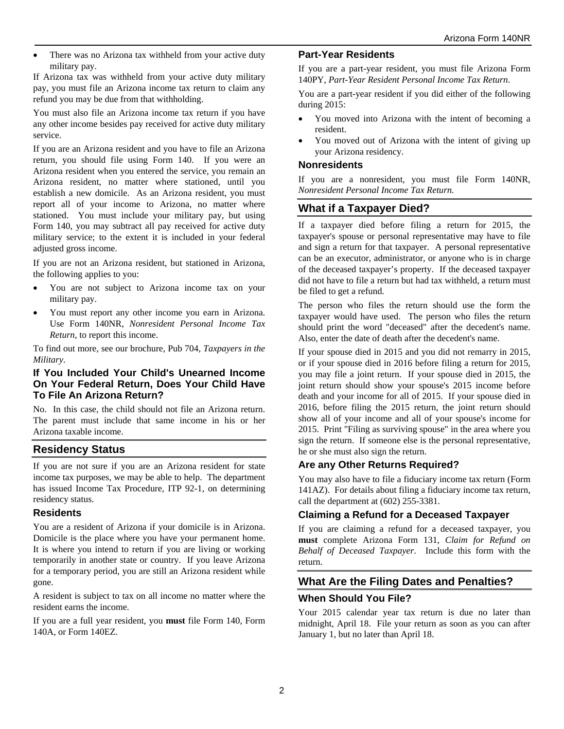• There was no Arizona tax withheld from your active duty military pay.

If Arizona tax was withheld from your active duty military pay, you must file an Arizona income tax return to claim any refund you may be due from that withholding.

You must also file an Arizona income tax return if you have any other income besides pay received for active duty military service.

If you are an Arizona resident and you have to file an Arizona return, you should file using Form 140. If you were an Arizona resident when you entered the service, you remain an Arizona resident, no matter where stationed, until you establish a new domicile. As an Arizona resident, you must report all of your income to Arizona, no matter where stationed. You must include your military pay, but using Form 140, you may subtract all pay received for active duty military service; to the extent it is included in your federal adjusted gross income.

If you are not an Arizona resident, but stationed in Arizona, the following applies to you:

- You are not subject to Arizona income tax on your military pay.
- You must report any other income you earn in Arizona. Use Form 140NR, *Nonresident Personal Income Tax Return*, to report this income.

To find out more, see our brochure, Pub 704, *Taxpayers in the Military*.

#### **If You Included Your Child's Unearned Income On Your Federal Return, Does Your Child Have To File An Arizona Return?**

No. In this case, the child should not file an Arizona return. The parent must include that same income in his or her Arizona taxable income.

## **Residency Status**

If you are not sure if you are an Arizona resident for state income tax purposes, we may be able to help. The department has issued Income Tax Procedure, ITP 92-1, on determining residency status.

#### **Residents**

You are a resident of Arizona if your domicile is in Arizona. Domicile is the place where you have your permanent home. It is where you intend to return if you are living or working temporarily in another state or country. If you leave Arizona for a temporary period, you are still an Arizona resident while gone.

A resident is subject to tax on all income no matter where the resident earns the income.

If you are a full year resident, you **must** file Form 140, Form 140A, or Form 140EZ.

#### **Part-Year Residents**

If you are a part-year resident, you must file Arizona Form 140PY, *Part-Year Resident Personal Income Tax Return*.

You are a part-year resident if you did either of the following during 2015:

- You moved into Arizona with the intent of becoming a resident.
- You moved out of Arizona with the intent of giving up your Arizona residency.

### **Nonresidents**

If you are a nonresident, you must file Form 140NR, *Nonresident Personal Income Tax Return.*

## **What if a Taxpayer Died?**

If a taxpayer died before filing a return for 2015, the taxpayer's spouse or personal representative may have to file and sign a return for that taxpayer. A personal representative can be an executor, administrator, or anyone who is in charge of the deceased taxpayer's property. If the deceased taxpayer did not have to file a return but had tax withheld, a return must be filed to get a refund.

The person who files the return should use the form the taxpayer would have used. The person who files the return should print the word "deceased" after the decedent's name. Also, enter the date of death after the decedent's name.

If your spouse died in 2015 and you did not remarry in 2015, or if your spouse died in 2016 before filing a return for 2015, you may file a joint return. If your spouse died in 2015, the joint return should show your spouse's 2015 income before death and your income for all of 2015. If your spouse died in 2016, before filing the 2015 return, the joint return should show all of your income and all of your spouse's income for 2015. Print "Filing as surviving spouse" in the area where you sign the return. If someone else is the personal representative, he or she must also sign the return.

## **Are any Other Returns Required?**

You may also have to file a fiduciary income tax return (Form 141AZ). For details about filing a fiduciary income tax return, call the department at (602) 255-3381.

### **Claiming a Refund for a Deceased Taxpayer**

If you are claiming a refund for a deceased taxpayer, you **must** complete Arizona Form 131, *Claim for Refund on Behalf of Deceased Taxpayer*. Include this form with the return.

## **What Are the Filing Dates and Penalties?**

### **When Should You File?**

Your 2015 calendar year tax return is due no later than midnight, April 18. File your return as soon as you can after January 1, but no later than April 18.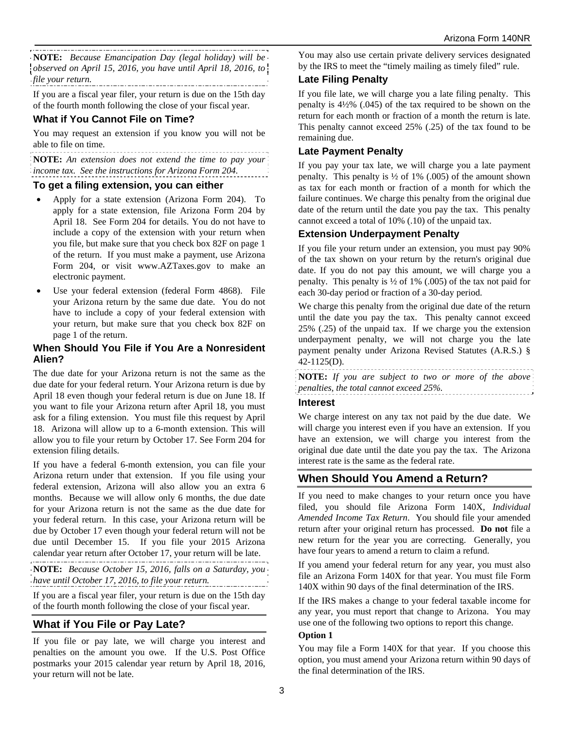**NOTE:** *Because Emancipation Day (legal holiday) will be observed on April 15, 2016, you have until April 18, 2016, to file your return.* 

If you are a fiscal year filer, your return is due on the 15th day of the fourth month following the close of your fiscal year.

## **What if You Cannot File on Time?**

You may request an extension if you know you will not be able to file on time.

**NOTE:** *An extension does not extend the time to pay your income tax. See the instructions for Arizona Form 204.* 

#### **To get a filing extension, you can either**

- Apply for a state extension (Arizona Form 204). To apply for a state extension, file Arizona Form 204 by April 18. See Form 204 for details. You do not have to include a copy of the extension with your return when you file, but make sure that you check box 82F on page 1 of the return. If you must make a payment, use Arizona Form 204, or visit www.AZTaxes.gov to make an electronic payment.
- Use your federal extension (federal Form 4868). File your Arizona return by the same due date. You do not have to include a copy of your federal extension with your return, but make sure that you check box 82F on page 1 of the return.

### **When Should You File if You Are a Nonresident Alien?**

The due date for your Arizona return is not the same as the due date for your federal return. Your Arizona return is due by April 18 even though your federal return is due on June 18. If you want to file your Arizona return after April 18, you must ask for a filing extension. You must file this request by April 18. Arizona will allow up to a 6-month extension. This will allow you to file your return by October 17. See Form 204 for extension filing details.

If you have a federal 6-month extension, you can file your Arizona return under that extension. If you file using your federal extension, Arizona will also allow you an extra 6 months. Because we will allow only 6 months, the due date for your Arizona return is not the same as the due date for your federal return. In this case, your Arizona return will be due by October 17 even though your federal return will not be due until December 15. If you file your 2015 Arizona calendar year return after October 17, your return will be late.

**NOTE:** *Because October 15, 2016, falls on a Saturday, you have until October 17, 2016, to file your return.* 

If you are a fiscal year filer, your return is due on the 15th day of the fourth month following the close of your fiscal year.

## **What if You File or Pay Late?**

If you file or pay late, we will charge you interest and penalties on the amount you owe. If the U.S. Post Office postmarks your 2015 calendar year return by April 18, 2016, your return will not be late.

You may also use certain private delivery services designated by the IRS to meet the "timely mailing as timely filed" rule.

### **Late Filing Penalty**

If you file late, we will charge you a late filing penalty. This penalty is 4½% (.045) of the tax required to be shown on the return for each month or fraction of a month the return is late. This penalty cannot exceed 25% (.25) of the tax found to be remaining due.

### **Late Payment Penalty**

If you pay your tax late, we will charge you a late payment penalty. This penalty is ½ of 1% (.005) of the amount shown as tax for each month or fraction of a month for which the failure continues. We charge this penalty from the original due date of the return until the date you pay the tax. This penalty cannot exceed a total of 10% (.10) of the unpaid tax.

### **Extension Underpayment Penalty**

If you file your return under an extension, you must pay 90% of the tax shown on your return by the return's original due date. If you do not pay this amount, we will charge you a penalty. This penalty is  $\frac{1}{2}$  of 1% (.005) of the tax not paid for each 30-day period or fraction of a 30-day period.

We charge this penalty from the original due date of the return until the date you pay the tax. This penalty cannot exceed 25% (.25) of the unpaid tax. If we charge you the extension underpayment penalty, we will not charge you the late payment penalty under Arizona Revised Statutes (A.R.S.) § 42-1125(D).

**NOTE:** *If you are subject to two or more of the above penalties, the total cannot exceed 25%.* 

### **Interest**

We charge interest on any tax not paid by the due date. We will charge you interest even if you have an extension. If you have an extension, we will charge you interest from the original due date until the date you pay the tax. The Arizona interest rate is the same as the federal rate.

## **When Should You Amend a Return?**

If you need to make changes to your return once you have filed, you should file Arizona Form 140X, *Individual Amended Income Tax Return*. You should file your amended return after your original return has processed. **Do not** file a new return for the year you are correcting. Generally, you have four years to amend a return to claim a refund.

If you amend your federal return for any year, you must also file an Arizona Form 140X for that year. You must file Form 140X within 90 days of the final determination of the IRS.

If the IRS makes a change to your federal taxable income for any year, you must report that change to Arizona. You may use one of the following two options to report this change. **Option 1** 

#### You may file a Form 140X for that year. If you choose this option, you must amend your Arizona return within 90 days of the final determination of the IRS.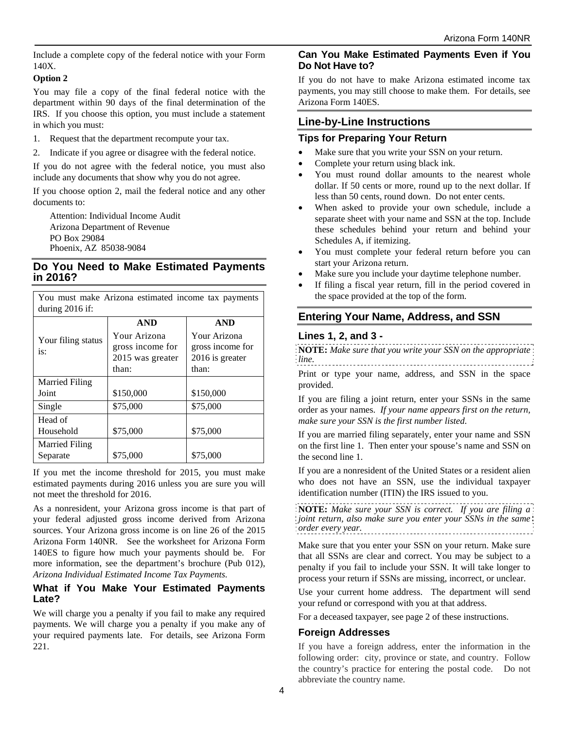Include a complete copy of the federal notice with your Form 140X.

#### **Option 2**

You may file a copy of the final federal notice with the department within 90 days of the final determination of the IRS. If you choose this option, you must include a statement in which you must:

- 1. Request that the department recompute your tax.
- 2. Indicate if you agree or disagree with the federal notice.

If you do not agree with the federal notice, you must also include any documents that show why you do not agree.

If you choose option 2, mail the federal notice and any other documents to:

Attention: Individual Income Audit Arizona Department of Revenue PO Box 29084 Phoenix, AZ 85038-9084

### **Do You Need to Make Estimated Payments in 2016?**

You must make Arizona estimated income tax payments during 2016 if:

|                           | <b>AND</b>       | <b>AND</b>       |  |
|---------------------------|------------------|------------------|--|
| Your filing status<br>is: | Your Arizona     | Your Arizona     |  |
|                           | gross income for | gross income for |  |
|                           | 2015 was greater | 2016 is greater  |  |
|                           | than:            | than:            |  |
| <b>Married Filing</b>     |                  |                  |  |
| Joint                     | \$150,000        | \$150,000        |  |
| Single                    | \$75,000         | \$75,000         |  |
| Head of                   |                  |                  |  |
| Household                 | \$75,000         | \$75,000         |  |
| Married Filing            |                  |                  |  |
| Separate                  | \$75,000         | \$75,000         |  |

If you met the income threshold for 2015, you must make estimated payments during 2016 unless you are sure you will not meet the threshold for 2016.

As a nonresident, your Arizona gross income is that part of your federal adjusted gross income derived from Arizona sources. Your Arizona gross income is on line 26 of the 2015 Arizona Form 140NR. See the worksheet for Arizona Form 140ES to figure how much your payments should be. For more information, see the department's brochure (Pub 012), *Arizona Individual Estimated Income Tax Payments.* 

### **What if You Make Your Estimated Payments Late?**

We will charge you a penalty if you fail to make any required payments. We will charge you a penalty if you make any of your required payments late. For details, see Arizona Form 221.

## **Can You Make Estimated Payments Even if You Do Not Have to?**

If you do not have to make Arizona estimated income tax payments, you may still choose to make them. For details, see Arizona Form 140ES.

## **Line-by-Line Instructions**

#### **Tips for Preparing Your Return**

- Make sure that you write your SSN on your return.
- Complete your return using black ink.
- You must round dollar amounts to the nearest whole dollar. If 50 cents or more, round up to the next dollar. If less than 50 cents, round down. Do not enter cents.
- When asked to provide your own schedule, include a separate sheet with your name and SSN at the top. Include these schedules behind your return and behind your Schedules A, if itemizing.
- You must complete your federal return before you can start your Arizona return.
- Make sure you include your daytime telephone number.
- If filing a fiscal year return, fill in the period covered in the space provided at the top of the form.

## **Entering Your Name, Address, and SSN**

### **Lines 1, 2, and 3 -**

**NOTE:** *Make sure that you write your SSN on the appropriate line.* Print or type your name, address, and SSN in the space provided.

If you are filing a joint return, enter your SSNs in the same order as your names. *If your name appears first on the return, make sure your SSN is the first number listed*.

If you are married filing separately, enter your name and SSN on the first line 1. Then enter your spouse's name and SSN on the second line 1.

If you are a nonresident of the United States or a resident alien who does not have an SSN, use the individual taxpayer identification number (ITIN) the IRS issued to you.

**NOTE:** *Make sure your SSN is correct. If you are filing a joint return, also make sure you enter your SSNs in the same order every year.* 

Make sure that you enter your SSN on your return. Make sure that all SSNs are clear and correct. You may be subject to a penalty if you fail to include your SSN. It will take longer to process your return if SSNs are missing, incorrect, or unclear.

Use your current home address. The department will send your refund or correspond with you at that address.

For a deceased taxpayer, see page 2 of these instructions.

## **Foreign Addresses**

If you have a foreign address, enter the information in the following order: city, province or state, and country. Follow the country's practice for entering the postal code. Do not abbreviate the country name.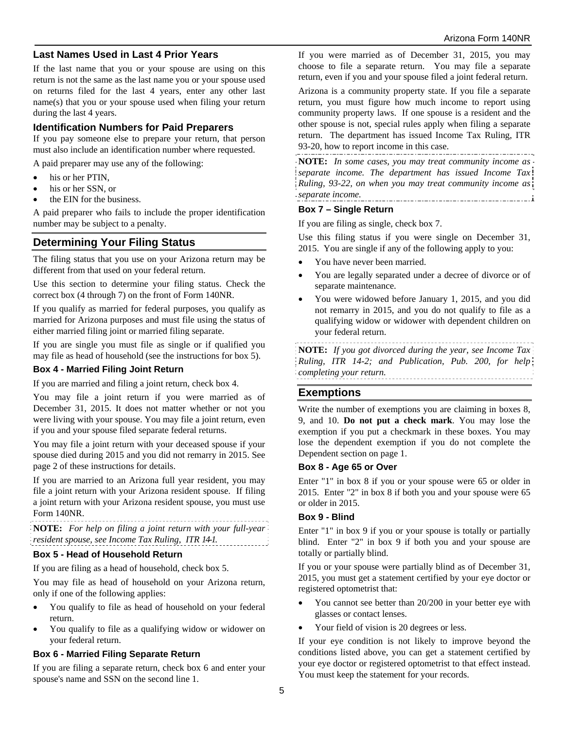### **Last Names Used in Last 4 Prior Years**

If the last name that you or your spouse are using on this return is not the same as the last name you or your spouse used on returns filed for the last 4 years, enter any other last name(s) that you or your spouse used when filing your return during the last 4 years.

### **Identification Numbers for Paid Preparers**

If you pay someone else to prepare your return, that person must also include an identification number where requested.

A paid preparer may use any of the following:

- his or her PTIN,
- his or her SSN, or
- the EIN for the business.

A paid preparer who fails to include the proper identification number may be subject to a penalty.

### **Determining Your Filing Status**

The filing status that you use on your Arizona return may be different from that used on your federal return.

Use this section to determine your filing status. Check the correct box (4 through 7) on the front of Form 140NR.

If you qualify as married for federal purposes, you qualify as married for Arizona purposes and must file using the status of either married filing joint or married filing separate.

If you are single you must file as single or if qualified you may file as head of household (see the instructions for box 5).

#### **Box 4 - Married Filing Joint Return**

If you are married and filing a joint return, check box 4.

You may file a joint return if you were married as of December 31, 2015. It does not matter whether or not you were living with your spouse. You may file a joint return, even if you and your spouse filed separate federal returns.

You may file a joint return with your deceased spouse if your spouse died during 2015 and you did not remarry in 2015. See page 2 of these instructions for details.

If you are married to an Arizona full year resident, you may file a joint return with your Arizona resident spouse. If filing a joint return with your Arizona resident spouse, you must use Form 140NR.

**NOTE:** *For help on filing a joint return with your full-year resident spouse, see Income Tax Ruling, ITR 14-1*.

#### **Box 5 - Head of Household Return**

If you are filing as a head of household, check box 5.

You may file as head of household on your Arizona return, only if one of the following applies:

- You qualify to file as head of household on your federal return.
- You qualify to file as a qualifying widow or widower on your federal return.

#### **Box 6 - Married Filing Separate Return**

If you are filing a separate return, check box 6 and enter your spouse's name and SSN on the second line 1.

If you were married as of December 31, 2015, you may choose to file a separate return. You may file a separate return, even if you and your spouse filed a joint federal return.

Arizona is a community property state. If you file a separate return, you must figure how much income to report using community property laws. If one spouse is a resident and the other spouse is not, special rules apply when filing a separate return. The department has issued Income Tax Ruling, ITR 93-20, how to report income in this case.

**NOTE:** *In some cases, you may treat community income as separate income. The department has issued Income Tax Ruling, 93-22, on when you may treat community income as separate income.*  

#### **Box 7 – Single Return**

If you are filing as single, check box 7.

Use this filing status if you were single on December 31, 2015. You are single if any of the following apply to you:

- You have never been married.
- You are legally separated under a decree of divorce or of separate maintenance.
- You were widowed before January 1, 2015, and you did not remarry in 2015, and you do not qualify to file as a qualifying widow or widower with dependent children on your federal return.

**NOTE:** *If you got divorced during the year, see Income Tax Ruling, ITR 14-2; and Publication, Pub. 200, for help completing your return.* 

### **Exemptions**

Write the number of exemptions you are claiming in boxes 8, 9, and 10. **Do not put a check mark**. You may lose the exemption if you put a checkmark in these boxes. You may lose the dependent exemption if you do not complete the Dependent section on page 1.

#### **Box 8 - Age 65 or Over**

Enter "1" in box 8 if you or your spouse were 65 or older in 2015. Enter "2" in box 8 if both you and your spouse were 65 or older in 2015.

### **Box 9 - Blind**

Enter "1" in box 9 if you or your spouse is totally or partially blind. Enter "2" in box 9 if both you and your spouse are totally or partially blind.

If you or your spouse were partially blind as of December 31, 2015, you must get a statement certified by your eye doctor or registered optometrist that:

- You cannot see better than 20/200 in your better eye with glasses or contact lenses.
- Your field of vision is 20 degrees or less.

If your eye condition is not likely to improve beyond the conditions listed above, you can get a statement certified by your eye doctor or registered optometrist to that effect instead. You must keep the statement for your records.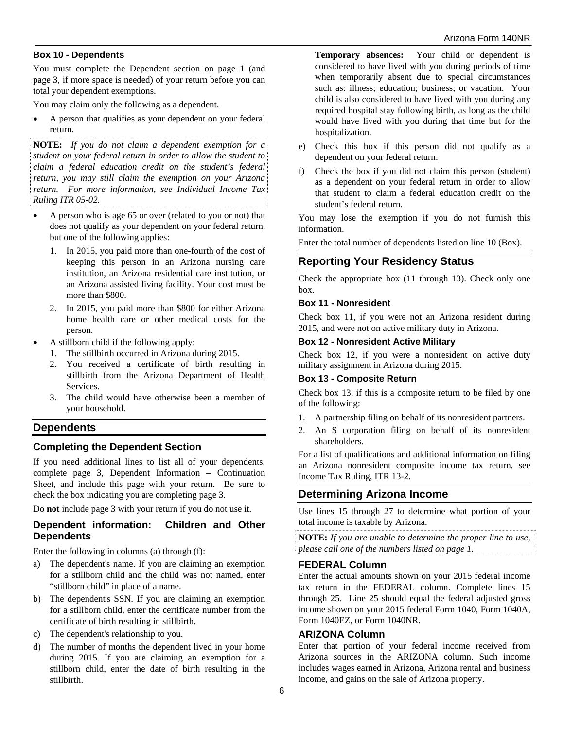#### **Box 10 - Dependents**

You must complete the Dependent section on page 1 (and page 3, if more space is needed) of your return before you can total your dependent exemptions.

You may claim only the following as a dependent.

 A person that qualifies as your dependent on your federal return.

**NOTE:** *If you do not claim a dependent exemption for a student on your federal return in order to allow the student to claim a federal education credit on the student's federal return, you may still claim the exemption on your Arizona return. For more information, see Individual Income Tax Ruling ITR 05-02.*

- A person who is age 65 or over (related to you or not) that does not qualify as your dependent on your federal return, but one of the following applies:
	- 1. In 2015, you paid more than one-fourth of the cost of keeping this person in an Arizona nursing care institution, an Arizona residential care institution, or an Arizona assisted living facility. Your cost must be more than \$800.
	- 2. In 2015, you paid more than \$800 for either Arizona home health care or other medical costs for the person.
- A stillborn child if the following apply:
	- 1. The stillbirth occurred in Arizona during 2015.
	- 2. You received a certificate of birth resulting in stillbirth from the Arizona Department of Health Services.
	- 3. The child would have otherwise been a member of your household.

### **Dependents**

#### **Completing the Dependent Section**

If you need additional lines to list all of your dependents, complete page 3, Dependent Information – Continuation Sheet, and include this page with your return. Be sure to check the box indicating you are completing page 3.

Do **not** include page 3 with your return if you do not use it.

#### **Dependent information: Children and Other Dependents**

Enter the following in columns (a) through (f):

- a) The dependent's name. If you are claiming an exemption for a stillborn child and the child was not named, enter "stillborn child" in place of a name.
- b) The dependent's SSN. If you are claiming an exemption for a stillborn child, enter the certificate number from the certificate of birth resulting in stillbirth.
- c) The dependent's relationship to you.
- d) The number of months the dependent lived in your home during 2015. If you are claiming an exemption for a stillborn child, enter the date of birth resulting in the stillbirth.

**Temporary absences:** Your child or dependent is considered to have lived with you during periods of time when temporarily absent due to special circumstances such as: illness; education; business; or vacation. Your child is also considered to have lived with you during any required hospital stay following birth, as long as the child would have lived with you during that time but for the hospitalization.

- e) Check this box if this person did not qualify as a dependent on your federal return.
- f) Check the box if you did not claim this person (student) as a dependent on your federal return in order to allow that student to claim a federal education credit on the student's federal return.

You may lose the exemption if you do not furnish this information.

Enter the total number of dependents listed on line 10 (Box).

## **Reporting Your Residency Status**

Check the appropriate box (11 through 13). Check only one box.

#### **Box 11 - Nonresident**

Check box 11, if you were not an Arizona resident during 2015, and were not on active military duty in Arizona.

#### **Box 12 - Nonresident Active Military**

Check box 12, if you were a nonresident on active duty military assignment in Arizona during 2015.

#### **Box 13 - Composite Return**

Check box 13, if this is a composite return to be filed by one of the following:

- 1. A partnership filing on behalf of its nonresident partners.
- 2. An S corporation filing on behalf of its nonresident shareholders.

For a list of qualifications and additional information on filing an Arizona nonresident composite income tax return, see Income Tax Ruling, ITR 13-2.

### **Determining Arizona Income**

Use lines 15 through 27 to determine what portion of your total income is taxable by Arizona.

**NOTE:** *If you are unable to determine the proper line to use, please call one of the numbers listed on page 1.* 

#### **FEDERAL Column**

Enter the actual amounts shown on your 2015 federal income tax return in the FEDERAL column. Complete lines 15 through 25. Line 25 should equal the federal adjusted gross income shown on your 2015 federal Form 1040, Form 1040A, Form 1040EZ, or Form 1040NR.

#### **ARIZONA Column**

Enter that portion of your federal income received from Arizona sources in the ARIZONA column. Such income includes wages earned in Arizona, Arizona rental and business income, and gains on the sale of Arizona property.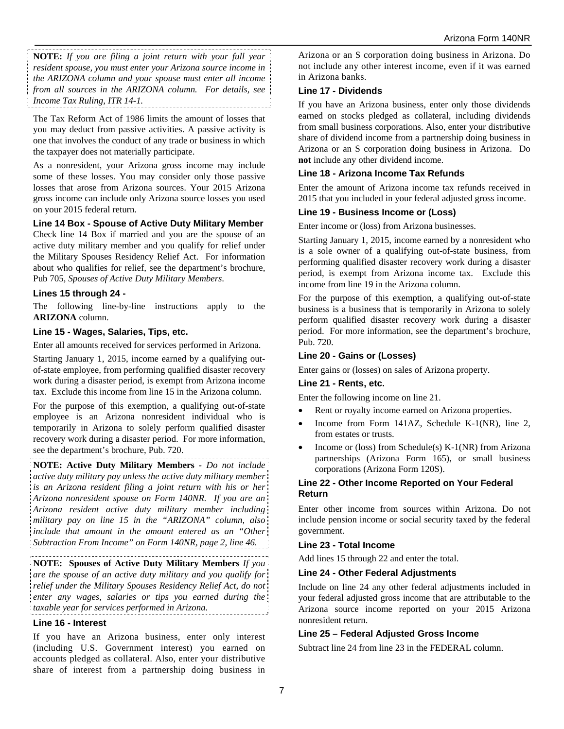**NOTE:** *If you are filing a joint return with your full year resident spouse, you must enter your Arizona source income in the ARIZONA column and your spouse must enter all income from all sources in the ARIZONA column. For details, see Income Tax Ruling, ITR 14-1.*

The Tax Reform Act of 1986 limits the amount of losses that you may deduct from passive activities. A passive activity is one that involves the conduct of any trade or business in which the taxpayer does not materially participate.

As a nonresident, your Arizona gross income may include some of these losses. You may consider only those passive losses that arose from Arizona sources. Your 2015 Arizona gross income can include only Arizona source losses you used on your 2015 federal return.

#### **Line 14 Box - Spouse of Active Duty Military Member**

Check line 14 Box if married and you are the spouse of an active duty military member and you qualify for relief under the Military Spouses Residency Relief Act. For information about who qualifies for relief, see the department's brochure, Pub 705, *Spouses of Active Duty Military Members*.

#### **Lines 15 through 24 -**

The following line-by-line instructions apply to the **ARIZONA** column.

#### **Line 15 - Wages, Salaries, Tips, etc.**

Enter all amounts received for services performed in Arizona.

Starting January 1, 2015, income earned by a qualifying outof-state employee, from performing qualified disaster recovery work during a disaster period, is exempt from Arizona income tax. Exclude this income from line 15 in the Arizona column.

For the purpose of this exemption, a qualifying out-of-state employee is an Arizona nonresident individual who is temporarily in Arizona to solely perform qualified disaster recovery work during a disaster period. For more information, see the department's brochure, Pub. 720.

**NOTE: Active Duty Military Members** *- Do not include active duty military pay unless the active duty military member is an Arizona resident filing a joint return with his or her Arizona nonresident spouse on Form 140NR. If you are an Arizona resident active duty military member including military pay on line 15 in the "ARIZONA" column, also include that amount in the amount entered as an "Other Subtraction From Income" on Form 140NR, page 2, line 46.* 

**NOTE: Spouses of Active Duty Military Members** *If you are the spouse of an active duty military and you qualify for relief under the Military Spouses Residency Relief Act, do not enter any wages, salaries or tips you earned during the taxable year for services performed in Arizona.*

### **Line 16 - Interest**

If you have an Arizona business, enter only interest (including U.S. Government interest) you earned on accounts pledged as collateral. Also, enter your distributive share of interest from a partnership doing business in

Arizona or an S corporation doing business in Arizona. Do not include any other interest income, even if it was earned in Arizona banks.

### **Line 17 - Dividends**

If you have an Arizona business, enter only those dividends earned on stocks pledged as collateral, including dividends from small business corporations. Also, enter your distributive share of dividend income from a partnership doing business in Arizona or an S corporation doing business in Arizona. Do **not** include any other dividend income.

#### **Line 18 - Arizona Income Tax Refunds**

Enter the amount of Arizona income tax refunds received in 2015 that you included in your federal adjusted gross income.

#### **Line 19 - Business Income or (Loss)**

Enter income or (loss) from Arizona businesses.

Starting January 1, 2015, income earned by a nonresident who is a sole owner of a qualifying out-of-state business, from performing qualified disaster recovery work during a disaster period, is exempt from Arizona income tax. Exclude this income from line 19 in the Arizona column.

For the purpose of this exemption, a qualifying out-of-state business is a business that is temporarily in Arizona to solely perform qualified disaster recovery work during a disaster period. For more information, see the department's brochure, Pub. 720.

#### **Line 20 - Gains or (Losses)**

Enter gains or (losses) on sales of Arizona property.

#### **Line 21 - Rents, etc.**

Enter the following income on line 21.

- Rent or royalty income earned on Arizona properties.
- Income from Form 141AZ, Schedule K-1(NR), line 2, from estates or trusts.
- Income or (loss) from Schedule(s) K-1(NR) from Arizona partnerships (Arizona Form 165), or small business corporations (Arizona Form 120S).

#### **Line 22 - Other Income Reported on Your Federal Return**

Enter other income from sources within Arizona. Do not include pension income or social security taxed by the federal government.

#### **Line 23 - Total Income**

Add lines 15 through 22 and enter the total.

#### **Line 24 - Other Federal Adjustments**

Include on line 24 any other federal adjustments included in your federal adjusted gross income that are attributable to the Arizona source income reported on your 2015 Arizona nonresident return.

#### **Line 25 – Federal Adjusted Gross Income**

Subtract line 24 from line 23 in the FEDERAL column.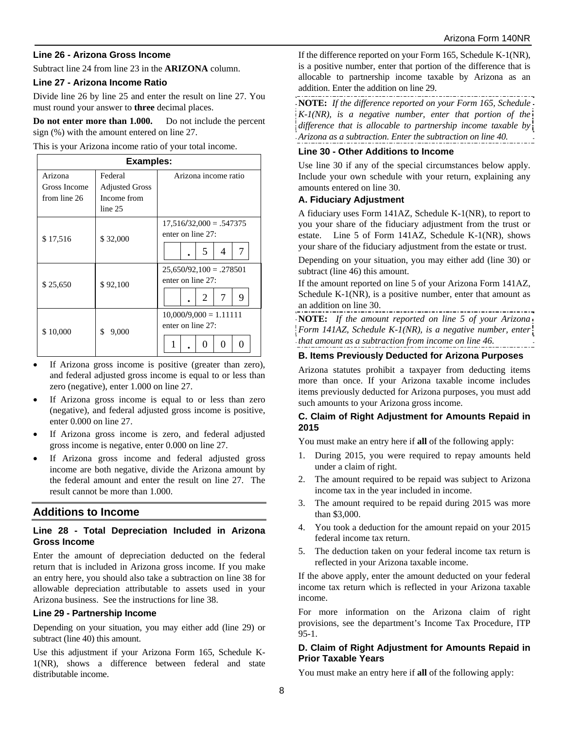#### **Line 26 - Arizona Gross Income**

Subtract line 24 from line 23 in the **ARIZONA** column.

#### **Line 27 - Arizona Income Ratio**

Divide line 26 by line 25 and enter the result on line 27. You must round your answer to **three** decimal places.

**Do not enter more than 1.000.** Do not include the percent sign (%) with the amount entered on line 27.

This is your Arizona income ratio of your total income.

| <b>Examples:</b>                        |                                                            |                                                               |  |  |  |
|-----------------------------------------|------------------------------------------------------------|---------------------------------------------------------------|--|--|--|
| Arizona<br>Gross Income<br>from line 26 | Federal<br><b>Adjusted Gross</b><br>Income from<br>line 25 | Arizona income ratio                                          |  |  |  |
| \$17,516                                | \$32,000                                                   | $17,516/32,000 = .547375$<br>enter on line 27:<br>7<br>5<br>4 |  |  |  |
| \$25,650                                | \$92,100                                                   | $25,650/92,100 = .278501$<br>enter on line 27:<br>7<br>9<br>2 |  |  |  |
| \$10,000                                | \$<br>9,000                                                | $10,000/9,000 = 1.11111$<br>enter on line 27:<br>0<br>0       |  |  |  |

- If Arizona gross income is positive (greater than zero), and federal adjusted gross income is equal to or less than zero (negative), enter 1.000 on line 27.
- If Arizona gross income is equal to or less than zero (negative), and federal adjusted gross income is positive, enter 0.000 on line 27.
- If Arizona gross income is zero, and federal adjusted gross income is negative, enter 0.000 on line 27.
- If Arizona gross income and federal adjusted gross income are both negative, divide the Arizona amount by the federal amount and enter the result on line 27. The result cannot be more than 1.000.

### **Additions to Income**

#### **Line 28 - Total Depreciation Included in Arizona Gross Income**

Enter the amount of depreciation deducted on the federal return that is included in Arizona gross income. If you make an entry here, you should also take a subtraction on line 38 for allowable depreciation attributable to assets used in your Arizona business. See the instructions for line 38.

#### **Line 29 - Partnership Income**

Depending on your situation, you may either add (line 29) or subtract (line 40) this amount.

Use this adjustment if your Arizona Form 165, Schedule K-1(NR), shows a difference between federal and state distributable income.

If the difference reported on your Form 165, Schedule K-1(NR), is a positive number, enter that portion of the difference that is allocable to partnership income taxable by Arizona as an addition. Enter the addition on line 29.

**NOTE:** *If the difference reported on your Form 165, Schedule K-1(NR), is a negative number, enter that portion of the difference that is allocable to partnership income taxable by Arizona as a subtraction. Enter the subtraction on line 40.*

#### **Line 30 - Other Additions to Income**

Use line 30 if any of the special circumstances below apply. Include your own schedule with your return, explaining any amounts entered on line 30.

#### **A. Fiduciary Adjustment**

A fiduciary uses Form 141AZ, Schedule K-1(NR), to report to you your share of the fiduciary adjustment from the trust or estate. Line 5 of Form 141AZ, Schedule K-1(NR), shows your share of the fiduciary adjustment from the estate or trust.

Depending on your situation, you may either add (line 30) or subtract (line 46) this amount.

If the amount reported on line 5 of your Arizona Form 141AZ, Schedule K-1(NR), is a positive number, enter that amount as an addition on line 30.

**NOTE:** *If the amount reported on line 5 of your Arizona Form 141AZ, Schedule K-1(NR), is a negative number, enter that amount as a subtraction from income on line 46.*

#### **B. Items Previously Deducted for Arizona Purposes**

Arizona statutes prohibit a taxpayer from deducting items more than once. If your Arizona taxable income includes items previously deducted for Arizona purposes, you must add such amounts to your Arizona gross income.

### **C. Claim of Right Adjustment for Amounts Repaid in 2015**

You must make an entry here if **all** of the following apply:

- 1. During 2015, you were required to repay amounts held under a claim of right.
- 2. The amount required to be repaid was subject to Arizona income tax in the year included in income.
- 3. The amount required to be repaid during 2015 was more than \$3,000.
- 4. You took a deduction for the amount repaid on your 2015 federal income tax return.
- 5. The deduction taken on your federal income tax return is reflected in your Arizona taxable income.

If the above apply, enter the amount deducted on your federal income tax return which is reflected in your Arizona taxable income.

For more information on the Arizona claim of right provisions, see the department's Income Tax Procedure, ITP 95-1.

### **D. Claim of Right Adjustment for Amounts Repaid in Prior Taxable Years**

You must make an entry here if **all** of the following apply: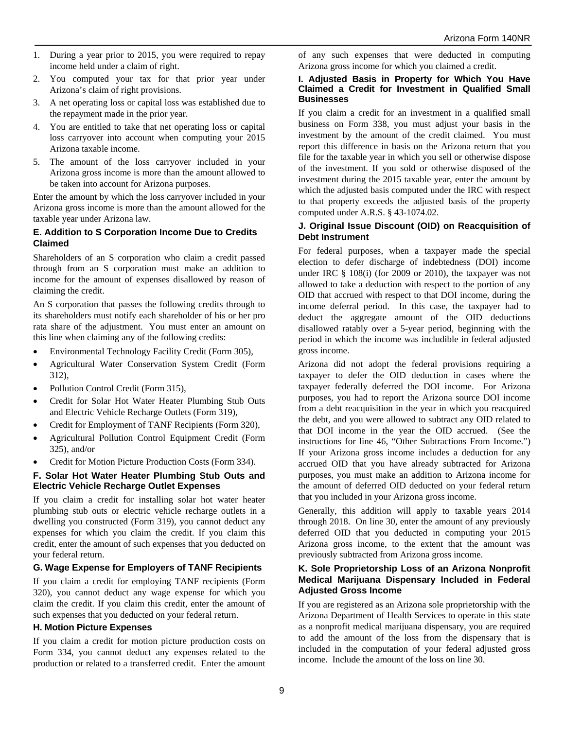- 1. During a year prior to 2015, you were required to repay income held under a claim of right.
- 2. You computed your tax for that prior year under Arizona's claim of right provisions.
- 3. A net operating loss or capital loss was established due to the repayment made in the prior year.
- 4. You are entitled to take that net operating loss or capital loss carryover into account when computing your 2015 Arizona taxable income.
- 5. The amount of the loss carryover included in your Arizona gross income is more than the amount allowed to be taken into account for Arizona purposes.

Enter the amount by which the loss carryover included in your Arizona gross income is more than the amount allowed for the taxable year under Arizona law.

#### **E. Addition to S Corporation Income Due to Credits Claimed**

Shareholders of an S corporation who claim a credit passed through from an S corporation must make an addition to income for the amount of expenses disallowed by reason of claiming the credit.

An S corporation that passes the following credits through to its shareholders must notify each shareholder of his or her pro rata share of the adjustment. You must enter an amount on this line when claiming any of the following credits:

- Environmental Technology Facility Credit (Form 305),
- Agricultural Water Conservation System Credit (Form 312),
- Pollution Control Credit (Form 315),
- Credit for Solar Hot Water Heater Plumbing Stub Outs and Electric Vehicle Recharge Outlets (Form 319),
- Credit for Employment of TANF Recipients (Form 320),
- Agricultural Pollution Control Equipment Credit (Form 325), and/or
- Credit for Motion Picture Production Costs (Form 334).

#### **F. Solar Hot Water Heater Plumbing Stub Outs and Electric Vehicle Recharge Outlet Expenses**

If you claim a credit for installing solar hot water heater plumbing stub outs or electric vehicle recharge outlets in a dwelling you constructed (Form 319), you cannot deduct any expenses for which you claim the credit. If you claim this credit, enter the amount of such expenses that you deducted on your federal return.

### **G. Wage Expense for Employers of TANF Recipients**

If you claim a credit for employing TANF recipients (Form 320), you cannot deduct any wage expense for which you claim the credit. If you claim this credit, enter the amount of such expenses that you deducted on your federal return.

### **H. Motion Picture Expenses**

If you claim a credit for motion picture production costs on Form 334, you cannot deduct any expenses related to the production or related to a transferred credit. Enter the amount of any such expenses that were deducted in computing Arizona gross income for which you claimed a credit.

#### **I. Adjusted Basis in Property for Which You Have Claimed a Credit for Investment in Qualified Small Businesses**

If you claim a credit for an investment in a qualified small business on Form 338, you must adjust your basis in the investment by the amount of the credit claimed. You must report this difference in basis on the Arizona return that you file for the taxable year in which you sell or otherwise dispose of the investment. If you sold or otherwise disposed of the investment during the 2015 taxable year, enter the amount by which the adjusted basis computed under the IRC with respect to that property exceeds the adjusted basis of the property computed under A.R.S. § 43-1074.02.

#### **J. Original Issue Discount (OID) on Reacquisition of Debt Instrument**

For federal purposes, when a taxpayer made the special election to defer discharge of indebtedness (DOI) income under IRC § 108(i) (for 2009 or 2010), the taxpayer was not allowed to take a deduction with respect to the portion of any OID that accrued with respect to that DOI income, during the income deferral period. In this case, the taxpayer had to deduct the aggregate amount of the OID deductions disallowed ratably over a 5-year period, beginning with the period in which the income was includible in federal adjusted gross income.

Arizona did not adopt the federal provisions requiring a taxpayer to defer the OID deduction in cases where the taxpayer federally deferred the DOI income. For Arizona purposes, you had to report the Arizona source DOI income from a debt reacquisition in the year in which you reacquired the debt, and you were allowed to subtract any OID related to that DOI income in the year the OID accrued. (See the instructions for line 46, "Other Subtractions From Income.") If your Arizona gross income includes a deduction for any accrued OID that you have already subtracted for Arizona purposes, you must make an addition to Arizona income for the amount of deferred OID deducted on your federal return that you included in your Arizona gross income.

Generally, this addition will apply to taxable years 2014 through 2018. On line 30, enter the amount of any previously deferred OID that you deducted in computing your 2015 Arizona gross income, to the extent that the amount was previously subtracted from Arizona gross income.

#### **K. Sole Proprietorship Loss of an Arizona Nonprofit Medical Marijuana Dispensary Included in Federal Adjusted Gross Income**

If you are registered as an Arizona sole proprietorship with the Arizona Department of Health Services to operate in this state as a nonprofit medical marijuana dispensary, you are required to add the amount of the loss from the dispensary that is included in the computation of your federal adjusted gross income. Include the amount of the loss on line 30.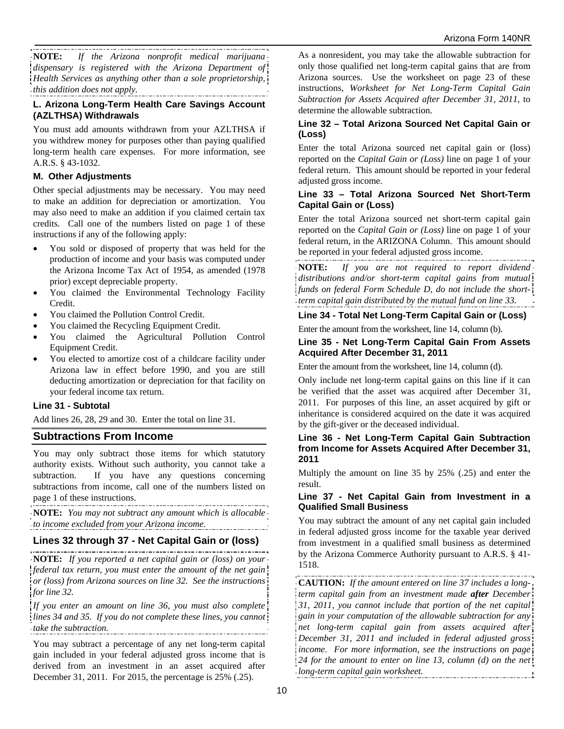**NOTE:** *If the Arizona nonprofit medical marijuana dispensary is registered with the Arizona Department of Health Services as anything other than a sole proprietorship, this addition does not apply.* 

### **L. Arizona Long-Term Health Care Savings Account (AZLTHSA) Withdrawals**

You must add amounts withdrawn from your AZLTHSA if you withdrew money for purposes other than paying qualified long-term health care expenses. For more information, see A.R.S. § 43-1032.

#### **M. Other Adjustments**

Other special adjustments may be necessary. You may need to make an addition for depreciation or amortization. You may also need to make an addition if you claimed certain tax credits. Call one of the numbers listed on page 1 of these instructions if any of the following apply:

- You sold or disposed of property that was held for the production of income and your basis was computed under the Arizona Income Tax Act of 1954, as amended (1978 prior) except depreciable property.
- You claimed the Environmental Technology Facility Credit.
- You claimed the Pollution Control Credit.
- You claimed the Recycling Equipment Credit.
- You claimed the Agricultural Pollution Control Equipment Credit.
- You elected to amortize cost of a childcare facility under Arizona law in effect before 1990, and you are still deducting amortization or depreciation for that facility on your federal income tax return.

#### **Line 31 - Subtotal**

Add lines 26, 28, 29 and 30. Enter the total on line 31.

## **Subtractions From Income**

You may only subtract those items for which statutory authority exists. Without such authority, you cannot take a subtraction. If you have any questions concerning subtractions from income, call one of the numbers listed on page 1 of these instructions.

**NOTE:** *You may not subtract any amount which is allocable to income excluded from your Arizona income.*

### **Lines 32 through 37 - Net Capital Gain or (loss)**

**NOTE:** *If you reported a net capital gain or (loss) on your federal tax return, you must enter the amount of the net gain or (loss) from Arizona sources on line 32. See the instructions for line 32.* 

*If you enter an amount on line 36, you must also complete lines 34 and 35. If you do not complete these lines, you cannot take the subtraction.* 

You may subtract a percentage of any net long-term capital gain included in your federal adjusted gross income that is derived from an investment in an asset acquired after December 31, 2011. For 2015, the percentage is 25% (.25).

As a nonresident, you may take the allowable subtraction for only those qualified net long-term capital gains that are from Arizona sources. Use the worksheet on page 23 of these instructions, *Worksheet for Net Long-Term Capital Gain Subtraction for Assets Acquired after December 31, 2011,* to determine the allowable subtraction.

### **Line 32 – Total Arizona Sourced Net Capital Gain or (Loss)**

Enter the total Arizona sourced net capital gain or (loss) reported on the *Capital Gain or (Loss)* line on page 1 of your federal return. This amount should be reported in your federal adjusted gross income.

#### **Line 33 – Total Arizona Sourced Net Short-Term Capital Gain or (Loss)**

Enter the total Arizona sourced net short-term capital gain reported on the *Capital Gain or (Loss)* line on page 1 of your federal return, in the ARIZONA Column. This amount should be reported in your federal adjusted gross income.

**NOTE:** *If you are not required to report dividend distributions and/or short-term capital gains from mutual funds on federal Form Schedule D, do not include the shortterm capital gain distributed by the mutual fund on line 33.* 

### **Line 34 - Total Net Long-Term Capital Gain or (Loss)**

Enter the amount from the worksheet, line 14, column (b).

#### **Line 35 - Net Long-Term Capital Gain From Assets Acquired After December 31, 2011**

Enter the amount from the worksheet, line 14, column (d).

Only include net long-term capital gains on this line if it can be verified that the asset was acquired after December 31, 2011. For purposes of this line, an asset acquired by gift or inheritance is considered acquired on the date it was acquired by the gift-giver or the deceased individual.

#### **Line 36 - Net Long-Term Capital Gain Subtraction from Income for Assets Acquired After December 31, 2011**

Multiply the amount on line 35 by 25% (.25) and enter the result.

#### **Line 37 - Net Capital Gain from Investment in a Qualified Small Business**

You may subtract the amount of any net capital gain included in federal adjusted gross income for the taxable year derived from investment in a qualified small business as determined by the Arizona Commerce Authority pursuant to A.R.S. § 41- 1518.

**CAUTION:** *If the amount entered on line 37 includes a longterm capital gain from an investment made after December 31, 2011, you cannot include that portion of the net capital gain in your computation of the allowable subtraction for any net long-term capital gain from assets acquired after December 31, 2011 and included in federal adjusted gross income. For more information, see the instructions on page 24 for the amount to enter on line 13, column (d) on the net long-term capital gain worksheet.*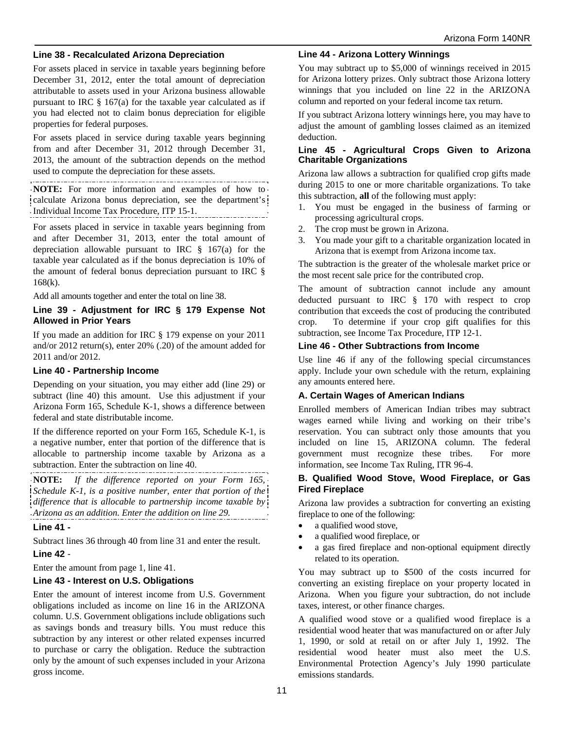#### **Line 38 - Recalculated Arizona Depreciation**

For assets placed in service in taxable years beginning before December 31, 2012, enter the total amount of depreciation attributable to assets used in your Arizona business allowable pursuant to IRC  $\S$  167(a) for the taxable year calculated as if you had elected not to claim bonus depreciation for eligible properties for federal purposes.

For assets placed in service during taxable years beginning from and after December 31, 2012 through December 31, 2013, the amount of the subtraction depends on the method used to compute the depreciation for these assets.

**NOTE:** For more information and examples of how to calculate Arizona bonus depreciation, see the department's Individual Income Tax Procedure, ITP 15-1.

For assets placed in service in taxable years beginning from and after December 31, 2013, enter the total amount of depreciation allowable pursuant to IRC § 167(a) for the taxable year calculated as if the bonus depreciation is 10% of the amount of federal bonus depreciation pursuant to IRC § 168(k).

Add all amounts together and enter the total on line 38.

#### **Line 39 - Adjustment for IRC § 179 Expense Not Allowed in Prior Years**

If you made an addition for IRC § 179 expense on your 2011 and/or 2012 return(s), enter 20% (.20) of the amount added for 2011 and/or 2012.

#### **Line 40 - Partnership Income**

Depending on your situation, you may either add (line 29) or subtract (line 40) this amount. Use this adjustment if your Arizona Form 165, Schedule K-1, shows a difference between federal and state distributable income.

If the difference reported on your Form 165, Schedule K-1, is a negative number, enter that portion of the difference that is allocable to partnership income taxable by Arizona as a subtraction. Enter the subtraction on line 40.

**NOTE:** *If the difference reported on your Form 165, Schedule K-1, is a positive number, enter that portion of the difference that is allocable to partnership income taxable by Arizona as an addition. Enter the addition on line 29.*

#### **Line 41 -**

Subtract lines 36 through 40 from line 31 and enter the result.

#### **Line 42** -

Enter the amount from page 1, line 41.

#### **Line 43 - Interest on U.S. Obligations**

Enter the amount of interest income from U.S. Government obligations included as income on line 16 in the ARIZONA column. U.S. Government obligations include obligations such as savings bonds and treasury bills. You must reduce this subtraction by any interest or other related expenses incurred to purchase or carry the obligation. Reduce the subtraction only by the amount of such expenses included in your Arizona gross income.

#### **Line 44 - Arizona Lottery Winnings**

You may subtract up to \$5,000 of winnings received in 2015 for Arizona lottery prizes. Only subtract those Arizona lottery winnings that you included on line 22 in the ARIZONA column and reported on your federal income tax return.

If you subtract Arizona lottery winnings here, you may have to adjust the amount of gambling losses claimed as an itemized deduction.

#### **Line 45 - Agricultural Crops Given to Arizona Charitable Organizations**

Arizona law allows a subtraction for qualified crop gifts made during 2015 to one or more charitable organizations. To take this subtraction, **all** of the following must apply:

- 1. You must be engaged in the business of farming or processing agricultural crops.
- 2. The crop must be grown in Arizona.
- 3. You made your gift to a charitable organization located in Arizona that is exempt from Arizona income tax.

The subtraction is the greater of the wholesale market price or the most recent sale price for the contributed crop.

The amount of subtraction cannot include any amount deducted pursuant to IRC § 170 with respect to crop contribution that exceeds the cost of producing the contributed crop. To determine if your crop gift qualifies for this subtraction, see Income Tax Procedure, ITP 12-1.

#### **Line 46 - Other Subtractions from Income**

Use line 46 if any of the following special circumstances apply. Include your own schedule with the return, explaining any amounts entered here.

#### **A. Certain Wages of American Indians**

Enrolled members of American Indian tribes may subtract wages earned while living and working on their tribe's reservation. You can subtract only those amounts that you included on line 15, ARIZONA column. The federal government must recognize these tribes. For more information, see Income Tax Ruling, ITR 96-4.

#### **B. Qualified Wood Stove, Wood Fireplace, or Gas Fired Fireplace**

Arizona law provides a subtraction for converting an existing fireplace to one of the following:

- a qualified wood stove,
- a qualified wood fireplace, or
- a gas fired fireplace and non-optional equipment directly related to its operation.

You may subtract up to \$500 of the costs incurred for converting an existing fireplace on your property located in Arizona. When you figure your subtraction, do not include taxes, interest, or other finance charges.

A qualified wood stove or a qualified wood fireplace is a residential wood heater that was manufactured on or after July 1, 1990, or sold at retail on or after July 1, 1992. The residential wood heater must also meet the U.S. Environmental Protection Agency's July 1990 particulate emissions standards.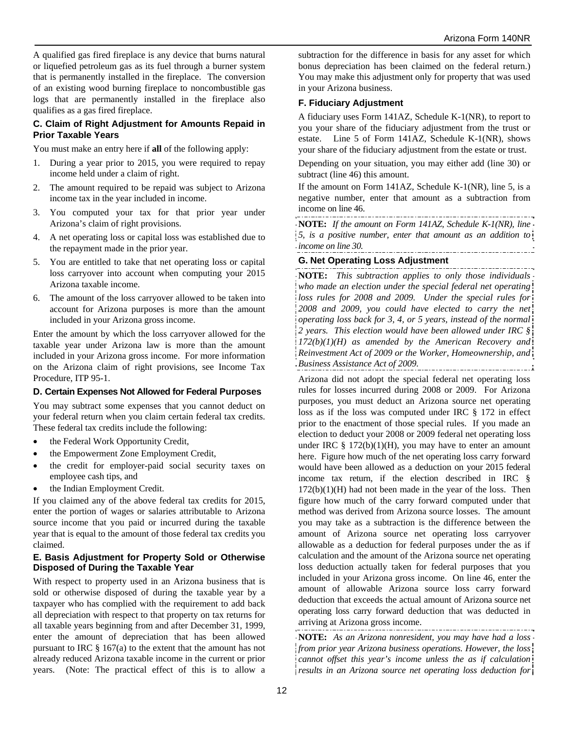A qualified gas fired fireplace is any device that burns natural or liquefied petroleum gas as its fuel through a burner system that is permanently installed in the fireplace. The conversion of an existing wood burning fireplace to noncombustible gas logs that are permanently installed in the fireplace also qualifies as a gas fired fireplace.

#### **C. Claim of Right Adjustment for Amounts Repaid in Prior Taxable Years**

You must make an entry here if **all** of the following apply:

- 1. During a year prior to 2015, you were required to repay income held under a claim of right.
- 2. The amount required to be repaid was subject to Arizona income tax in the year included in income.
- 3. You computed your tax for that prior year under Arizona's claim of right provisions.
- 4. A net operating loss or capital loss was established due to the repayment made in the prior year.
- 5. You are entitled to take that net operating loss or capital loss carryover into account when computing your 2015 Arizona taxable income.
- 6. The amount of the loss carryover allowed to be taken into account for Arizona purposes is more than the amount included in your Arizona gross income.

Enter the amount by which the loss carryover allowed for the taxable year under Arizona law is more than the amount included in your Arizona gross income. For more information on the Arizona claim of right provisions, see Income Tax Procedure, ITP 95-1.

#### **D. Certain Expenses Not Allowed for Federal Purposes**

You may subtract some expenses that you cannot deduct on your federal return when you claim certain federal tax credits. These federal tax credits include the following:

- the Federal Work Opportunity Credit,
- the Empowerment Zone Employment Credit,
- the credit for employer-paid social security taxes on employee cash tips, and
- the Indian Employment Credit.

If you claimed any of the above federal tax credits for 2015, enter the portion of wages or salaries attributable to Arizona source income that you paid or incurred during the taxable year that is equal to the amount of those federal tax credits you claimed.

#### **E. Basis Adjustment for Property Sold or Otherwise Disposed of During the Taxable Year**

With respect to property used in an Arizona business that is sold or otherwise disposed of during the taxable year by a taxpayer who has complied with the requirement to add back all depreciation with respect to that property on tax returns for all taxable years beginning from and after December 31, 1999, enter the amount of depreciation that has been allowed pursuant to IRC § 167(a) to the extent that the amount has not already reduced Arizona taxable income in the current or prior years. (Note: The practical effect of this is to allow a

subtraction for the difference in basis for any asset for which bonus depreciation has been claimed on the federal return.) You may make this adjustment only for property that was used in your Arizona business.

#### **F. Fiduciary Adjustment**

A fiduciary uses Form 141AZ, Schedule K-1(NR), to report to you your share of the fiduciary adjustment from the trust or estate. Line 5 of Form 141AZ, Schedule K-1(NR), shows your share of the fiduciary adjustment from the estate or trust.

Depending on your situation, you may either add (line 30) or subtract (line 46) this amount.

If the amount on Form 141AZ, Schedule K-1(NR), line 5, is a negative number, enter that amount as a subtraction from income on line 46.

**NOTE:** *If the amount on Form 141AZ, Schedule K-1(NR), line 5, is a positive number, enter that amount as an addition to income on line 30.*  

### **G. Net Operating Loss Adjustment**

**NOTE:** *This subtraction applies to only those individuals who made an election under the special federal net operating loss rules for 2008 and 2009. Under the special rules for 2008 and 2009, you could have elected to carry the net operating loss back for 3, 4, or 5 years, instead of the normal 2 years. This election would have been allowed under IRC § 172(b)(1)(H) as amended by the American Recovery and Reinvestment Act of 2009 or the Worker, Homeownership, and Business Assistance Act of 2009.*  

Arizona did not adopt the special federal net operating loss rules for losses incurred during 2008 or 2009. For Arizona purposes, you must deduct an Arizona source net operating loss as if the loss was computed under IRC § 172 in effect prior to the enactment of those special rules. If you made an election to deduct your 2008 or 2009 federal net operating loss under IRC  $\S 172(b)(1)(H)$ , you may have to enter an amount here. Figure how much of the net operating loss carry forward would have been allowed as a deduction on your 2015 federal income tax return, if the election described in IRC §  $172(b)(1)(H)$  had not been made in the year of the loss. Then figure how much of the carry forward computed under that method was derived from Arizona source losses. The amount you may take as a subtraction is the difference between the amount of Arizona source net operating loss carryover allowable as a deduction for federal purposes under the as if calculation and the amount of the Arizona source net operating loss deduction actually taken for federal purposes that you included in your Arizona gross income. On line 46, enter the amount of allowable Arizona source loss carry forward deduction that exceeds the actual amount of Arizona source net operating loss carry forward deduction that was deducted in arriving at Arizona gross income.

**NOTE:** *As an Arizona nonresident, you may have had a loss from prior year Arizona business operations. However, the loss cannot offset this year's income unless the as if calculation results in an Arizona source net operating loss deduction for*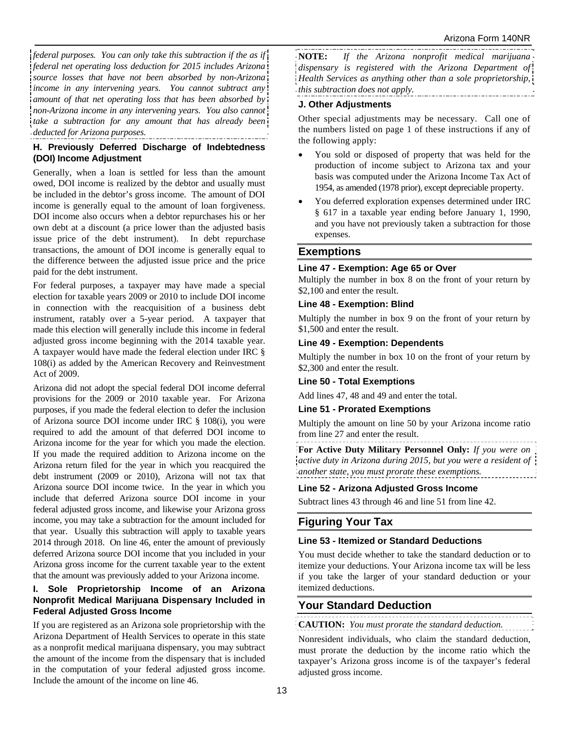*federal purposes. You can only take this subtraction if the as if federal net operating loss deduction for 2015 includes Arizona source losses that have not been absorbed by non-Arizona income in any intervening years. You cannot subtract any amount of that net operating loss that has been absorbed by non-Arizona income in any intervening years. You also cannot take a subtraction for any amount that has already been deducted for Arizona purposes.* 

#### **H. Previously Deferred Discharge of Indebtedness (DOI) Income Adjustment**

Generally, when a loan is settled for less than the amount owed, DOI income is realized by the debtor and usually must be included in the debtor's gross income. The amount of DOI income is generally equal to the amount of loan forgiveness. DOI income also occurs when a debtor repurchases his or her own debt at a discount (a price lower than the adjusted basis issue price of the debt instrument). In debt repurchase transactions, the amount of DOI income is generally equal to the difference between the adjusted issue price and the price paid for the debt instrument.

For federal purposes, a taxpayer may have made a special election for taxable years 2009 or 2010 to include DOI income in connection with the reacquisition of a business debt instrument, ratably over a 5-year period. A taxpayer that made this election will generally include this income in federal adjusted gross income beginning with the 2014 taxable year. A taxpayer would have made the federal election under IRC § 108(i) as added by the American Recovery and Reinvestment Act of 2009.

Arizona did not adopt the special federal DOI income deferral provisions for the 2009 or 2010 taxable year. For Arizona purposes, if you made the federal election to defer the inclusion of Arizona source DOI income under IRC § 108(i), you were required to add the amount of that deferred DOI income to Arizona income for the year for which you made the election. If you made the required addition to Arizona income on the Arizona return filed for the year in which you reacquired the debt instrument (2009 or 2010), Arizona will not tax that Arizona source DOI income twice. In the year in which you include that deferred Arizona source DOI income in your federal adjusted gross income, and likewise your Arizona gross income, you may take a subtraction for the amount included for that year. Usually this subtraction will apply to taxable years 2014 through 2018. On line 46, enter the amount of previously deferred Arizona source DOI income that you included in your Arizona gross income for the current taxable year to the extent that the amount was previously added to your Arizona income.

### **I. Sole Proprietorship Income of an Arizona Nonprofit Medical Marijuana Dispensary Included in Federal Adjusted Gross Income**

If you are registered as an Arizona sole proprietorship with the Arizona Department of Health Services to operate in this state as a nonprofit medical marijuana dispensary, you may subtract the amount of the income from the dispensary that is included in the computation of your federal adjusted gross income. Include the amount of the income on line 46.

**NOTE:** *If the Arizona nonprofit medical marijuana dispensary is registered with the Arizona Department of Health Services as anything other than a sole proprietorship, this subtraction does not apply.*

## **J. Other Adjustments**

Other special adjustments may be necessary. Call one of the numbers listed on page 1 of these instructions if any of the following apply:

- You sold or disposed of property that was held for the production of income subject to Arizona tax and your basis was computed under the Arizona Income Tax Act of 1954, as amended (1978 prior), except depreciable property.
- You deferred exploration expenses determined under IRC § 617 in a taxable year ending before January 1, 1990, and you have not previously taken a subtraction for those expenses.

## **Exemptions**

### **Line 47 - Exemption: Age 65 or Over**

Multiply the number in box 8 on the front of your return by \$2,100 and enter the result.

#### **Line 48 - Exemption: Blind**

Multiply the number in box 9 on the front of your return by \$1,500 and enter the result.

### **Line 49 - Exemption: Dependents**

Multiply the number in box 10 on the front of your return by \$2,300 and enter the result.

#### **Line 50 - Total Exemptions**

Add lines 47, 48 and 49 and enter the total.

### **Line 51 - Prorated Exemptions**

Multiply the amount on line 50 by your Arizona income ratio from line 27 and enter the result.

**For Active Duty Military Personnel Only:** *If you were on active duty in Arizona during 2015, but you were a resident of another state, you must prorate these exemptions.* 

### **Line 52 - Arizona Adjusted Gross Income**

Subtract lines 43 through 46 and line 51 from line 42.

## **Figuring Your Tax**

### **Line 53 - Itemized or Standard Deductions**

You must decide whether to take the standard deduction or to itemize your deductions. Your Arizona income tax will be less if you take the larger of your standard deduction or your itemized deductions.

## **Your Standard Deduction**

### **CAUTION:** *You must prorate the standard deduction.*

Nonresident individuals, who claim the standard deduction, must prorate the deduction by the income ratio which the taxpayer's Arizona gross income is of the taxpayer's federal adjusted gross income.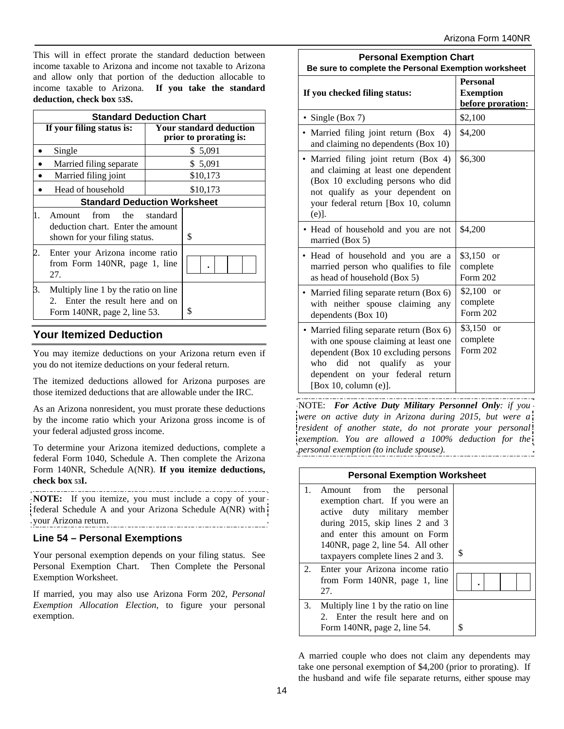This will in effect prorate the standard deduction between income taxable to Arizona and income not taxable to Arizona and allow only that portion of the deduction allocable to income taxable to Arizona. **If you take the standard deduction, check box 53S.** 

|                           | <b>Standard Deduction Chart</b>                                                                      |                                                          |          |  |
|---------------------------|------------------------------------------------------------------------------------------------------|----------------------------------------------------------|----------|--|
| If your filing status is: |                                                                                                      | <b>Your standard deduction</b><br>prior to prorating is: |          |  |
|                           | Single                                                                                               |                                                          | \$5,091  |  |
|                           | Married filing separate                                                                              |                                                          | \$ 5,091 |  |
|                           | Married filing joint                                                                                 |                                                          | \$10,173 |  |
|                           | Head of household                                                                                    |                                                          | \$10,173 |  |
|                           | <b>Standard Deduction Worksheet</b>                                                                  |                                                          |          |  |
| 1.                        | from the standard<br>Amount<br>deduction chart. Enter the amount<br>shown for your filing status.    |                                                          | \$       |  |
|                           | Enter your Arizona income ratio<br>from Form 140NR, page 1, line<br>27.                              |                                                          |          |  |
|                           | Multiply line 1 by the ratio on line<br>Enter the result here and on<br>Form 140NR, page 2, line 53. |                                                          | \$       |  |

## **Your Itemized Deduction**

You may itemize deductions on your Arizona return even if you do not itemize deductions on your federal return.

The itemized deductions allowed for Arizona purposes are those itemized deductions that are allowable under the IRC.

As an Arizona nonresident, you must prorate these deductions by the income ratio which your Arizona gross income is of your federal adjusted gross income.

To determine your Arizona itemized deductions, complete a federal Form 1040, Schedule A. Then complete the Arizona Form 140NR, Schedule A(NR). **If you itemize deductions, check box 53I.** 

**NOTE:** If you itemize, you must include a copy of your federal Schedule A and your Arizona Schedule A(NR) with your Arizona return. .<br>.\_.\_.\_.\_.\_.\_.\_.\_.\_.\_.\_.\_.\_.\_.\_.\_.\_.

### **Line 54 – Personal Exemptions**

Your personal exemption depends on your filing status. See Personal Exemption Chart. Then Complete the Personal Exemption Worksheet.

If married, you may also use Arizona Form 202, *Personal Exemption Allocation Election*, to figure your personal exemption.

| <b>Personal Exemption Chart</b><br>Be sure to complete the Personal Exemption worksheet                                                                                                                                          |                                                          |  |  |
|----------------------------------------------------------------------------------------------------------------------------------------------------------------------------------------------------------------------------------|----------------------------------------------------------|--|--|
| If you checked filing status:                                                                                                                                                                                                    | <b>Personal</b><br><b>Exemption</b><br>before proration: |  |  |
| • Single (Box 7)                                                                                                                                                                                                                 | \$2,100                                                  |  |  |
| • Married filing joint return (Box 4)<br>and claiming no dependents (Box 10)                                                                                                                                                     | \$4,200                                                  |  |  |
| Married filing joint return (Box 4)<br>$\bullet$<br>and claiming at least one dependent<br>(Box 10 excluding persons who did<br>not qualify as your dependent on<br>your federal return [Box 10, column<br>$(e)$ ].              | \$6,300                                                  |  |  |
| • Head of household and you are not<br>married (Box 5)                                                                                                                                                                           | \$4,200                                                  |  |  |
| · Head of household and you are a<br>married person who qualifies to file<br>as head of household (Box 5)                                                                                                                        | $$3,150$ or<br>complete<br>Form 202                      |  |  |
| • Married filing separate return (Box 6)<br>with neither spouse claiming<br>any<br>dependents (Box 10)                                                                                                                           | $$2,100$ or<br>complete<br>Form 202                      |  |  |
| • Married filing separate return (Box 6)<br>with one spouse claiming at least one<br>dependent (Box 10 excluding persons<br>who<br>did<br>not qualify as<br>your<br>dependent on your federal return<br>[Box 10, column $(e)$ ]. | $$3,150$ or<br>complete<br>Form 202                      |  |  |

NOTE: *For Active Duty Military Personnel Only: if you were on active duty in Arizona during 2015, but were a resident of another state, do not prorate your personal exemption. You are allowed a 100% deduction for the personal exemption (to include spouse).*

| <b>Personal Exemption Worksheet</b> |                                                                                                                                                                                                                                          |   |  |  |  |  |
|-------------------------------------|------------------------------------------------------------------------------------------------------------------------------------------------------------------------------------------------------------------------------------------|---|--|--|--|--|
|                                     | Amount from the personal<br>exemption chart. If you were an<br>active duty military member<br>during 2015, skip lines 2 and 3<br>and enter this amount on Form<br>140NR, page 2, line 54. All other<br>taxpayers complete lines 2 and 3. | S |  |  |  |  |
| 2.                                  | Enter your Arizona income ratio<br>from Form 140NR, page 1, line<br>27.                                                                                                                                                                  |   |  |  |  |  |
| 3.                                  | Multiply line 1 by the ratio on line<br>Enter the result here and on<br>$2^{\circ}$<br>Form 140NR, page 2, line 54.                                                                                                                      |   |  |  |  |  |

A married couple who does not claim any dependents may take one personal exemption of \$4,200 (prior to prorating). If the husband and wife file separate returns, either spouse may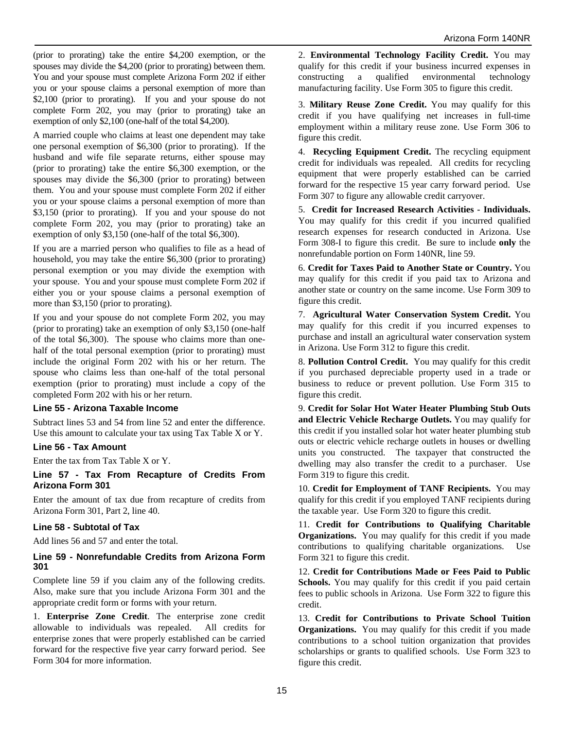(prior to prorating) take the entire \$4,200 exemption, or the spouses may divide the \$4,200 (prior to prorating) between them. You and your spouse must complete Arizona Form 202 if either you or your spouse claims a personal exemption of more than \$2,100 (prior to prorating). If you and your spouse do not complete Form 202, you may (prior to prorating) take an exemption of only \$2,100 (one-half of the total \$4,200).

A married couple who claims at least one dependent may take one personal exemption of \$6,300 (prior to prorating). If the husband and wife file separate returns, either spouse may (prior to prorating) take the entire \$6,300 exemption, or the spouses may divide the \$6,300 (prior to prorating) between them. You and your spouse must complete Form 202 if either you or your spouse claims a personal exemption of more than \$3,150 (prior to prorating). If you and your spouse do not complete Form 202, you may (prior to prorating) take an exemption of only \$3,150 (one-half of the total \$6,300).

If you are a married person who qualifies to file as a head of household, you may take the entire \$6,300 (prior to prorating) personal exemption or you may divide the exemption with your spouse. You and your spouse must complete Form 202 if either you or your spouse claims a personal exemption of more than \$3,150 (prior to prorating).

If you and your spouse do not complete Form 202, you may (prior to prorating) take an exemption of only \$3,150 (one-half of the total \$6,300). The spouse who claims more than onehalf of the total personal exemption (prior to prorating) must include the original Form 202 with his or her return. The spouse who claims less than one-half of the total personal exemption (prior to prorating) must include a copy of the completed Form 202 with his or her return.

### **Line 55 - Arizona Taxable Income**

Subtract lines 53 and 54 from line 52 and enter the difference. Use this amount to calculate your tax using Tax Table X or Y.

### **Line 56 - Tax Amount**

Enter the tax from Tax Table X or Y.

**Line 57 - Tax From Recapture of Credits From Arizona Form 301** 

Enter the amount of tax due from recapture of credits from Arizona Form 301, Part 2, line 40.

### **Line 58 - Subtotal of Tax**

Add lines 56 and 57 and enter the total.

#### **Line 59 - Nonrefundable Credits from Arizona Form 301**

Complete line 59 if you claim any of the following credits. Also, make sure that you include Arizona Form 301 and the appropriate credit form or forms with your return.

1. **Enterprise Zone Credit**. The enterprise zone credit allowable to individuals was repealed. All credits for enterprise zones that were properly established can be carried forward for the respective five year carry forward period. See Form 304 for more information.

2. **Environmental Technology Facility Credit.** You may qualify for this credit if your business incurred expenses in constructing a qualified environmental technology manufacturing facility. Use Form 305 to figure this credit.

3. **Military Reuse Zone Credit.** You may qualify for this credit if you have qualifying net increases in full-time employment within a military reuse zone. Use Form 306 to figure this credit.

4. **Recycling Equipment Credit.** The recycling equipment credit for individuals was repealed. All credits for recycling equipment that were properly established can be carried forward for the respective 15 year carry forward period. Use Form 307 to figure any allowable credit carryover.

5. **Credit for Increased Research Activities - Individuals.** You may qualify for this credit if you incurred qualified research expenses for research conducted in Arizona. Use Form 308-I to figure this credit. Be sure to include **only** the nonrefundable portion on Form 140NR, line 59.

6. **Credit for Taxes Paid to Another State or Country.** You may qualify for this credit if you paid tax to Arizona and another state or country on the same income. Use Form 309 to figure this credit.

7. **Agricultural Water Conservation System Credit.** You may qualify for this credit if you incurred expenses to purchase and install an agricultural water conservation system in Arizona. Use Form 312 to figure this credit.

8. **Pollution Control Credit.** You may qualify for this credit if you purchased depreciable property used in a trade or business to reduce or prevent pollution. Use Form 315 to figure this credit.

9. **Credit for Solar Hot Water Heater Plumbing Stub Outs and Electric Vehicle Recharge Outlets.** You may qualify for this credit if you installed solar hot water heater plumbing stub outs or electric vehicle recharge outlets in houses or dwelling units you constructed. The taxpayer that constructed the dwelling may also transfer the credit to a purchaser. Use Form 319 to figure this credit.

10. **Credit for Employment of TANF Recipients.** You may qualify for this credit if you employed TANF recipients during the taxable year. Use Form 320 to figure this credit.

11. **Credit for Contributions to Qualifying Charitable Organizations.** You may qualify for this credit if you made contributions to qualifying charitable organizations. Use Form 321 to figure this credit.

12. **Credit for Contributions Made or Fees Paid to Public**  Schools. You may qualify for this credit if you paid certain fees to public schools in Arizona. Use Form 322 to figure this credit.

13. **Credit for Contributions to Private School Tuition Organizations.** You may qualify for this credit if you made contributions to a school tuition organization that provides scholarships or grants to qualified schools. Use Form 323 to figure this credit.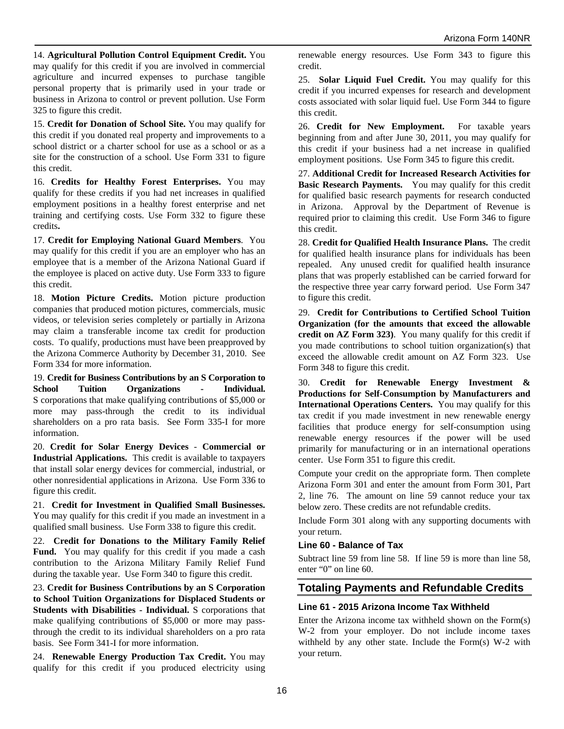14. **Agricultural Pollution Control Equipment Credit.** You may qualify for this credit if you are involved in commercial agriculture and incurred expenses to purchase tangible personal property that is primarily used in your trade or business in Arizona to control or prevent pollution. Use Form 325 to figure this credit.

15. **Credit for Donation of School Site.** You may qualify for this credit if you donated real property and improvements to a school district or a charter school for use as a school or as a site for the construction of a school. Use Form 331 to figure this credit.

16. **Credits for Healthy Forest Enterprises.** You may qualify for these credits if you had net increases in qualified employment positions in a healthy forest enterprise and net training and certifying costs. Use Form 332 to figure these credits**.**

17. **Credit for Employing National Guard Members**. You may qualify for this credit if you are an employer who has an employee that is a member of the Arizona National Guard if the employee is placed on active duty. Use Form 333 to figure this credit.

18. **Motion Picture Credits.** Motion picture production companies that produced motion pictures, commercials, music videos, or television series completely or partially in Arizona may claim a transferable income tax credit for production costs. To qualify, productions must have been preapproved by the Arizona Commerce Authority by December 31, 2010. See Form 334 for more information.

19. **Credit for Business Contributions by an S Corporation to School Tuition Organizations - Individual.**  S corporations that make qualifying contributions of \$5,000 or more may pass-through the credit to its individual shareholders on a pro rata basis. See Form 335-I for more information.

20. **Credit for Solar Energy Devices** - **Commercial or Industrial Applications.** This credit is available to taxpayers that install solar energy devices for commercial, industrial, or other nonresidential applications in Arizona. Use Form 336 to figure this credit.

21. **Credit for Investment in Qualified Small Businesses.** You may qualify for this credit if you made an investment in a qualified small business. Use Form 338 to figure this credit.

22. **Credit for Donations to the Military Family Relief**  Fund. You may qualify for this credit if you made a cash contribution to the Arizona Military Family Relief Fund during the taxable year. Use Form 340 to figure this credit.

23. **Credit for Business Contributions by an S Corporation to School Tuition Organizations for Displaced Students or Students with Disabilities - Individual.** S corporations that make qualifying contributions of \$5,000 or more may passthrough the credit to its individual shareholders on a pro rata basis. See Form 341-I for more information.

24. **Renewable Energy Production Tax Credit.** You may qualify for this credit if you produced electricity using renewable energy resources. Use Form 343 to figure this credit.

25. **Solar Liquid Fuel Credit.** You may qualify for this credit if you incurred expenses for research and development costs associated with solar liquid fuel. Use Form 344 to figure this credit.

26. **Credit for New Employment.** For taxable years beginning from and after June 30, 2011, you may qualify for this credit if your business had a net increase in qualified employment positions. Use Form 345 to figure this credit.

27. **Additional Credit for Increased Research Activities for Basic Research Payments.** You may qualify for this credit for qualified basic research payments for research conducted in Arizona. Approval by the Department of Revenue is required prior to claiming this credit. Use Form 346 to figure this credit.

28. **Credit for Qualified Health Insurance Plans.** The credit for qualified health insurance plans for individuals has been repealed. Any unused credit for qualified health insurance plans that was properly established can be carried forward for the respective three year carry forward period. Use Form 347 to figure this credit.

29. **Credit for Contributions to Certified School Tuition Organization (for the amounts that exceed the allowable credit on AZ Form 323)**. You many qualify for this credit if you made contributions to school tuition organization(s) that exceed the allowable credit amount on AZ Form 323. Use Form 348 to figure this credit.

30. **Credit for Renewable Energy Investment & Productions for Self-Consumption by Manufacturers and International Operations Centers.** You may qualify for this tax credit if you made investment in new renewable energy facilities that produce energy for self-consumption using renewable energy resources if the power will be used primarily for manufacturing or in an international operations center. Use Form 351 to figure this credit.

Compute your credit on the appropriate form. Then complete Arizona Form 301 and enter the amount from Form 301, Part 2, line 76. The amount on line 59 cannot reduce your tax below zero. These credits are not refundable credits.

Include Form 301 along with any supporting documents with your return.

### **Line 60 - Balance of Tax**

Subtract line 59 from line 58. If line 59 is more than line 58, enter "0" on line 60.

## **Totaling Payments and Refundable Credits**

### **Line 61 - 2015 Arizona Income Tax Withheld**

Enter the Arizona income tax withheld shown on the Form(s) W-2 from your employer. Do not include income taxes withheld by any other state. Include the Form(s) W-2 with your return.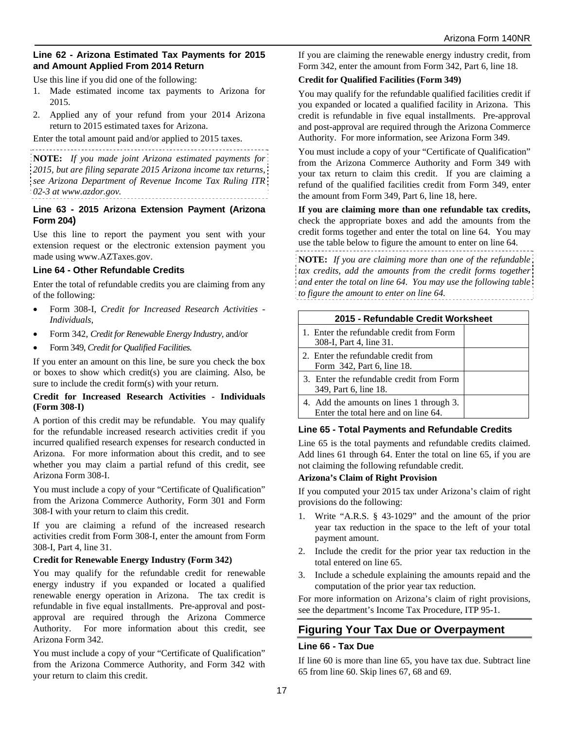#### **Line 62 - Arizona Estimated Tax Payments for 2015 and Amount Applied From 2014 Return**

Use this line if you did one of the following:

- 1. Made estimated income tax payments to Arizona for 2015.
- 2. Applied any of your refund from your 2014 Arizona return to 2015 estimated taxes for Arizona.

Enter the total amount paid and/or applied to 2015 taxes.

**NOTE:** *If you made joint Arizona estimated payments for 2015, but are filing separate 2015 Arizona income tax returns, see Arizona Department of Revenue Income Tax Ruling ITR 02-3 at www.azdor.gov.*

#### **Line 63 - 2015 Arizona Extension Payment (Arizona Form 204)**

Use this line to report the payment you sent with your extension request or the electronic extension payment you made using www.AZTaxes.gov.

#### **Line 64 - Other Refundable Credits**

Enter the total of refundable credits you are claiming from any of the following:

- Form 308-I, *Credit for Increased Research Activities Individuals*,
- Form 342, *Credit for Renewable Energy Industry,* and/or
- Form 349, *Credit for Qualified Facilities.*

If you enter an amount on this line, be sure you check the box or boxes to show which credit(s) you are claiming. Also, be sure to include the credit form(s) with your return.

#### **Credit for Increased Research Activities - Individuals (Form 308-I)**

A portion of this credit may be refundable. You may qualify for the refundable increased research activities credit if you incurred qualified research expenses for research conducted in Arizona. For more information about this credit, and to see whether you may claim a partial refund of this credit, see Arizona Form 308-I.

You must include a copy of your "Certificate of Qualification" from the Arizona Commerce Authority, Form 301 and Form 308-I with your return to claim this credit.

If you are claiming a refund of the increased research activities credit from Form 308-I, enter the amount from Form 308-I, Part 4, line 31.

### **Credit for Renewable Energy Industry (Form 342)**

You may qualify for the refundable credit for renewable energy industry if you expanded or located a qualified renewable energy operation in Arizona. The tax credit is refundable in five equal installments. Pre-approval and postapproval are required through the Arizona Commerce Authority. For more information about this credit, see Arizona Form 342.

You must include a copy of your "Certificate of Qualification" from the Arizona Commerce Authority, and Form 342 with your return to claim this credit.

If you are claiming the renewable energy industry credit, from Form 342, enter the amount from Form 342, Part 6, line 18.

### **Credit for Qualified Facilities (Form 349)**

You may qualify for the refundable qualified facilities credit if you expanded or located a qualified facility in Arizona. This credit is refundable in five equal installments. Pre-approval and post-approval are required through the Arizona Commerce Authority. For more information, see Arizona Form 349.

You must include a copy of your "Certificate of Qualification" from the Arizona Commerce Authority and Form 349 with your tax return to claim this credit. If you are claiming a refund of the qualified facilities credit from Form 349, enter the amount from Form 349, Part 6, line 18, here.

**If you are claiming more than one refundable tax credits,**  check the appropriate boxes and add the amounts from the credit forms together and enter the total on line 64. You may use the table below to figure the amount to enter on line 64.

**NOTE:** *If you are claiming more than one of the refundable tax credits, add the amounts from the credit forms together and enter the total on line 64. You may use the following table to figure the amount to enter on line 64.* 

| 2015 - Refundable Credit Worksheet                                               |  |  |  |  |
|----------------------------------------------------------------------------------|--|--|--|--|
| 1. Enter the refundable credit from Form<br>308-I, Part 4, line 31.              |  |  |  |  |
| 2. Enter the refundable credit from<br>Form 342, Part 6, line 18.                |  |  |  |  |
| 3. Enter the refundable credit from Form<br>349, Part 6, line 18.                |  |  |  |  |
| 4. Add the amounts on lines 1 through 3.<br>Enter the total here and on line 64. |  |  |  |  |

### **Line 65 - Total Payments and Refundable Credits**

Line 65 is the total payments and refundable credits claimed. Add lines 61 through 64. Enter the total on line 65, if you are not claiming the following refundable credit.

#### **Arizona's Claim of Right Provision**

If you computed your 2015 tax under Arizona's claim of right provisions do the following:

- 1. Write "A.R.S. § 43-1029" and the amount of the prior year tax reduction in the space to the left of your total payment amount.
- 2. Include the credit for the prior year tax reduction in the total entered on line 65.
- 3. Include a schedule explaining the amounts repaid and the computation of the prior year tax reduction.

For more information on Arizona's claim of right provisions, see the department's Income Tax Procedure, ITP 95-1.

## **Figuring Your Tax Due or Overpayment**

### **Line 66 - Tax Due**

If line 60 is more than line 65, you have tax due. Subtract line 65 from line 60. Skip lines 67, 68 and 69.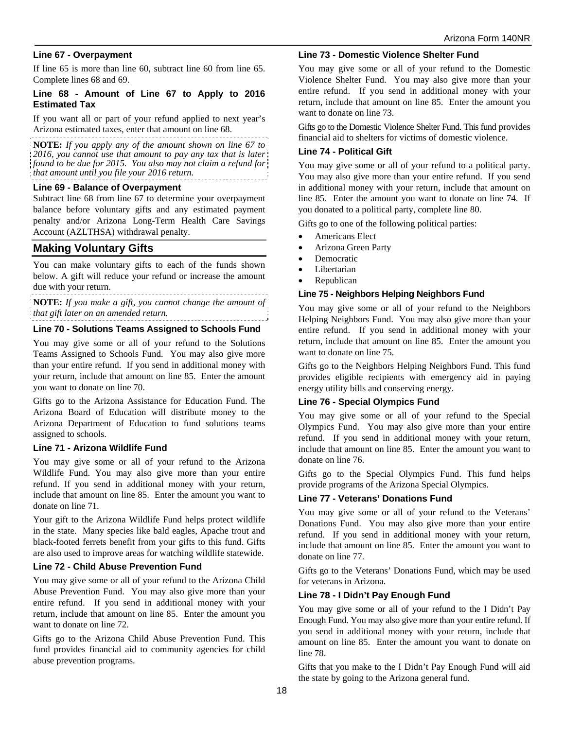#### **Line 67 - Overpayment**

If line 65 is more than line 60, subtract line 60 from line 65. Complete lines 68 and 69.

#### **Line 68 - Amount of Line 67 to Apply to 2016 Estimated Tax**

If you want all or part of your refund applied to next year's Arizona estimated taxes, enter that amount on line 68.

**NOTE:** *If you apply any of the amount shown on line 67 to 2016, you cannot use that amount to pay any tax that is later found to be due for 2015. You also may not claim a refund for that amount until you file your 2016 return.*

#### **Line 69 - Balance of Overpayment**

Subtract line 68 from line 67 to determine your overpayment balance before voluntary gifts and any estimated payment penalty and/or Arizona Long-Term Health Care Savings Account (AZLTHSA) withdrawal penalty.

### **Making Voluntary Gifts**

You can make voluntary gifts to each of the funds shown below. A gift will reduce your refund or increase the amount due with your return.

**NOTE:** *If you make a gift, you cannot change the amount of that gift later on an amended return.*

#### **Line 70 - Solutions Teams Assigned to Schools Fund**

You may give some or all of your refund to the Solutions Teams Assigned to Schools Fund. You may also give more than your entire refund. If you send in additional money with your return, include that amount on line 85. Enter the amount you want to donate on line 70.

Gifts go to the Arizona Assistance for Education Fund. The Arizona Board of Education will distribute money to the Arizona Department of Education to fund solutions teams assigned to schools.

#### **Line 71 - Arizona Wildlife Fund**

You may give some or all of your refund to the Arizona Wildlife Fund. You may also give more than your entire refund. If you send in additional money with your return, include that amount on line 85. Enter the amount you want to donate on line 71.

Your gift to the Arizona Wildlife Fund helps protect wildlife in the state. Many species like bald eagles, Apache trout and black-footed ferrets benefit from your gifts to this fund. Gifts are also used to improve areas for watching wildlife statewide.

#### **Line 72 - Child Abuse Prevention Fund**

You may give some or all of your refund to the Arizona Child Abuse Prevention Fund. You may also give more than your entire refund. If you send in additional money with your return, include that amount on line 85. Enter the amount you want to donate on line 72.

Gifts go to the Arizona Child Abuse Prevention Fund. This fund provides financial aid to community agencies for child abuse prevention programs.

#### **Line 73 - Domestic Violence Shelter Fund**

You may give some or all of your refund to the Domestic Violence Shelter Fund. You may also give more than your entire refund. If you send in additional money with your return, include that amount on line 85. Enter the amount you want to donate on line 73.

Gifts go to the Domestic Violence Shelter Fund. This fund provides financial aid to shelters for victims of domestic violence.

#### **Line 74 - Political Gift**

You may give some or all of your refund to a political party. You may also give more than your entire refund. If you send in additional money with your return, include that amount on line 85. Enter the amount you want to donate on line 74. If you donated to a political party, complete line 80.

Gifts go to one of the following political parties:

- Americans Elect
- Arizona Green Party
- Democratic
- Libertarian
- Republican

#### **Line 75 - Neighbors Helping Neighbors Fund**

You may give some or all of your refund to the Neighbors Helping Neighbors Fund. You may also give more than your entire refund. If you send in additional money with your return, include that amount on line 85. Enter the amount you want to donate on line 75.

Gifts go to the Neighbors Helping Neighbors Fund. This fund provides eligible recipients with emergency aid in paying energy utility bills and conserving energy.

#### **Line 76 - Special Olympics Fund**

You may give some or all of your refund to the Special Olympics Fund. You may also give more than your entire refund. If you send in additional money with your return, include that amount on line 85. Enter the amount you want to donate on line 76.

Gifts go to the Special Olympics Fund. This fund helps provide programs of the Arizona Special Olympics.

#### **Line 77 - Veterans' Donations Fund**

You may give some or all of your refund to the Veterans' Donations Fund. You may also give more than your entire refund. If you send in additional money with your return, include that amount on line 85. Enter the amount you want to donate on line 77.

Gifts go to the Veterans' Donations Fund, which may be used for veterans in Arizona.

#### **Line 78 - I Didn't Pay Enough Fund**

You may give some or all of your refund to the I Didn't Pay Enough Fund. You may also give more than your entire refund. If you send in additional money with your return, include that amount on line 85. Enter the amount you want to donate on line 78.

Gifts that you make to the I Didn't Pay Enough Fund will aid the state by going to the Arizona general fund.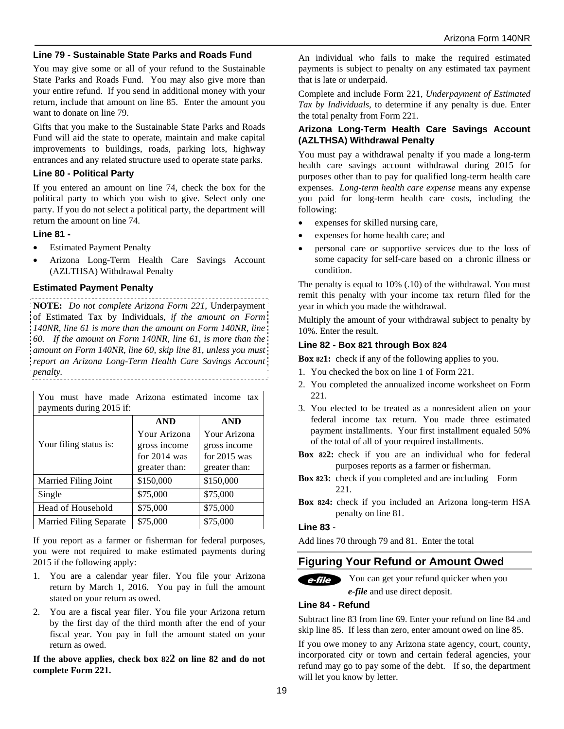#### **Line 79 - Sustainable State Parks and Roads Fund**

You may give some or all of your refund to the Sustainable State Parks and Roads Fund. You may also give more than your entire refund. If you send in additional money with your return, include that amount on line 85. Enter the amount you want to donate on line 79.

Gifts that you make to the Sustainable State Parks and Roads Fund will aid the state to operate, maintain and make capital improvements to buildings, roads, parking lots, highway entrances and any related structure used to operate state parks.

#### **Line 80 - Political Party**

If you entered an amount on line 74, check the box for the political party to which you wish to give. Select only one party. If you do not select a political party, the department will return the amount on line 74.

#### **Line 81 -**

- Estimated Payment Penalty
- Arizona Long-Term Health Care Savings Account (AZLTHSA) Withdrawal Penalty

#### **Estimated Payment Penalty**

**NOTE:** *Do not complete Arizona Form 221,* Underpayment of Estimated Tax by Individuals*, if the amount on Form 140NR, line 61 is more than the amount on Form 140NR, line 60. If the amount on Form 140NR, line 61, is more than the amount on Form 140NR, line 60, skip line 81, unless you must report an Arizona Long-Term Health Care Savings Account penalty.* 

| You must have made Arizona estimated income tax |                                                                 |                                                                 |  |  |  |
|-------------------------------------------------|-----------------------------------------------------------------|-----------------------------------------------------------------|--|--|--|
| payments during 2015 if:                        |                                                                 |                                                                 |  |  |  |
|                                                 | <b>AND</b>                                                      | <b>AND</b>                                                      |  |  |  |
| Your filing status is:                          | Your Arizona<br>gross income<br>for $2014$ was<br>greater than: | Your Arizona<br>gross income<br>for $2015$ was<br>greater than: |  |  |  |
| Married Filing Joint                            | \$150,000<br>\$150,000                                          |                                                                 |  |  |  |
| Single                                          | \$75,000                                                        | \$75,000                                                        |  |  |  |
| Head of Household                               | \$75,000                                                        | \$75,000                                                        |  |  |  |
| <b>Married Filing Separate</b>                  | \$75,000                                                        | \$75,000                                                        |  |  |  |

If you report as a farmer or fisherman for federal purposes, you were not required to make estimated payments during 2015 if the following apply:

- 1. You are a calendar year filer. You file your Arizona return by March 1, 2016. You pay in full the amount stated on your return as owed.
- 2. You are a fiscal year filer. You file your Arizona return by the first day of the third month after the end of your fiscal year. You pay in full the amount stated on your return as owed.

**If the above applies, check box 822 on line 82 and do not complete Form 221.** 

An individual who fails to make the required estimated payments is subject to penalty on any estimated tax payment that is late or underpaid.

Complete and include Form 221, *Underpayment of Estimated Tax by Individuals*, to determine if any penalty is due. Enter the total penalty from Form 221.

#### **Arizona Long-Term Health Care Savings Account (AZLTHSA) Withdrawal Penalty**

You must pay a withdrawal penalty if you made a long-term health care savings account withdrawal during 2015 for purposes other than to pay for qualified long-term health care expenses. *Long-term health care expense* means any expense you paid for long-term health care costs, including the following:

- expenses for skilled nursing care,
- expenses for home health care; and
- personal care or supportive services due to the loss of some capacity for self-care based on a chronic illness or condition.

The penalty is equal to 10% (.10) of the withdrawal. You must remit this penalty with your income tax return filed for the year in which you made the withdrawal.

Multiply the amount of your withdrawal subject to penalty by 10%. Enter the result.

#### **Line 82 - Box 821 through Box 824**

**Box 821:** check if any of the following applies to you.

- 1. You checked the box on line 1 of Form 221.
- 2. You completed the annualized income worksheet on Form 221.
- 3. You elected to be treated as a nonresident alien on your federal income tax return. You made three estimated payment installments. Your first installment equaled 50% of the total of all of your required installments.
- **Box 822:** check if you are an individual who for federal purposes reports as a farmer or fisherman.
- **Box 823:** check if you completed and are including Form 221.
- **Box 824:** check if you included an Arizona long-term HSA penalty on line 81.

#### **Line 83** -

Add lines 70 through 79 and 81. Enter the total

## **Figuring Your Refund or Amount Owed**

e-file You can get your refund quicker when you *e-file* and use direct deposit.

#### **Line 84 - Refund**

Subtract line 83 from line 69. Enter your refund on line 84 and skip line 85. If less than zero, enter amount owed on line 85.

If you owe money to any Arizona state agency, court, county, incorporated city or town and certain federal agencies, your refund may go to pay some of the debt. If so, the department will let you know by letter.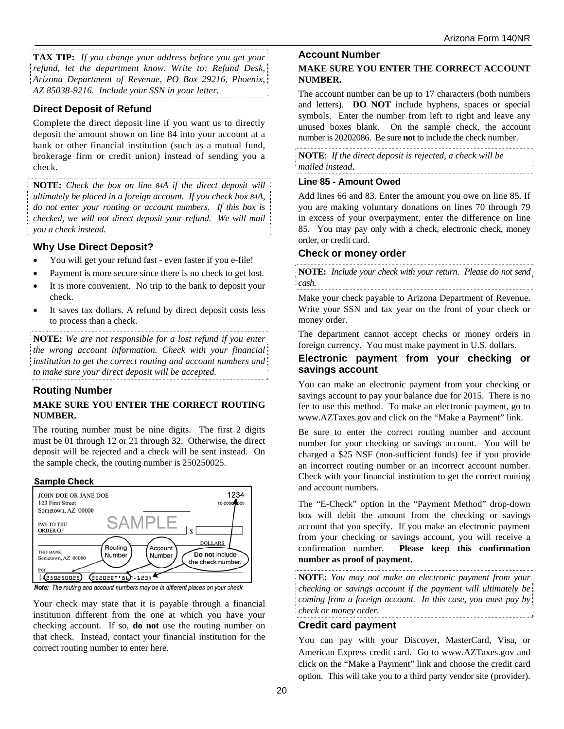**TAX TIP:** *If you change your address before you get your refund, let the department know. Write to: Refund Desk, Arizona Department of Revenue, PO Box 29216, Phoenix, AZ 85038-9216. Include your SSN in your letter.* 

## **Direct Deposit of Refund**

Complete the direct deposit line if you want us to directly deposit the amount shown on line 84 into your account at a bank or other financial institution (such as a mutual fund, brokerage firm or credit union) instead of sending you a check.

**NOTE:** *Check the box on line 84A if the direct deposit will ultimately be placed in a foreign account. If you check box 84A, do not enter your routing or account numbers. If this box is checked, we will not direct deposit your refund. We will mail you a check instead.* 

### **Why Use Direct Deposit?**

- You will get your refund fast even faster if you e-file!
- Payment is more secure since there is no check to get lost.
- It is more convenient. No trip to the bank to deposit your check.
- It saves tax dollars. A refund by direct deposit costs less to process than a check.

**NOTE:** *We are not responsible for a lost refund if you enter the wrong account information. Check with your financial institution to get the correct routing and account numbers and to make sure your direct deposit will be accepted.*

### **Routing Number**

#### **MAKE SURE YOU ENTER THE CORRECT ROUTING NUMBER.**

The routing number must be nine digits. The first 2 digits must be 01 through 12 or 21 through 32. Otherwise, the direct deposit will be rejected and a check will be sent instead. On the sample check, the routing number is 250250025.

### **Sample Check**



Note: The routing and account numbers may be in different places on your check.

Your check may state that it is payable through a financial institution different from the one at which you have your checking account. If so, **do not** use the routing number on that check. Instead, contact your financial institution for the correct routing number to enter here.

#### **Account Number**

#### **MAKE SURE YOU ENTER THE CORRECT ACCOUNT NUMBER.**

The account number can be up to 17 characters (both numbers and letters). **DO NOT** include hyphens, spaces or special symbols. Enter the number from left to right and leave any unused boxes blank. On the sample check, the account number is 20202086. Be sure **not** to include the check number.

**NOTE**: *If the direct deposit is rejected, a check will be mailed instead*.

#### **Line 85 - Amount Owed**

Add lines 66 and 83. Enter the amount you owe on line 85. If you are making voluntary donations on lines 70 through 79 in excess of your overpayment, enter the difference on line 85.You may pay only with a check, electronic check, money order, or credit card.

#### **Check or money order**

**NOTE:** *Include your check with your return*. *Please do not send cash.*

Make your check payable to Arizona Department of Revenue. Write your SSN and tax year on the front of your check or money order.

The department cannot accept checks or money orders in foreign currency. You must make payment in U.S. dollars.

#### **Electronic payment from your checking or savings account**

You can make an electronic payment from your checking or savings account to pay your balance due for 2015. There is no fee to use this method. To make an electronic payment, go to www.AZTaxes.gov and click on the "Make a Payment" link.

Be sure to enter the correct routing number and account number for your checking or savings account. You will be charged a \$25 NSF (non-sufficient funds) fee if you provide an incorrect routing number or an incorrect account number. Check with your financial institution to get the correct routing and account numbers.

The "E-Check" option in the "Payment Method" drop-down box will debit the amount from the checking or savings account that you specify. If you make an electronic payment from your checking or savings account, you will receive a confirmation number. **Please keep this confirmation number as proof of payment.** 

**NOTE:** *You may not make an electronic payment from your checking or savings account if the payment will ultimately be coming from a foreign account. In this case, you must pay by check or money order.*  

### **Credit card payment**

You can pay with your Discover, MasterCard, Visa, or American Express credit card. Go to www.AZTaxes.gov and click on the "Make a Payment" link and choose the credit card option. This will take you to a third party vendor site (provider).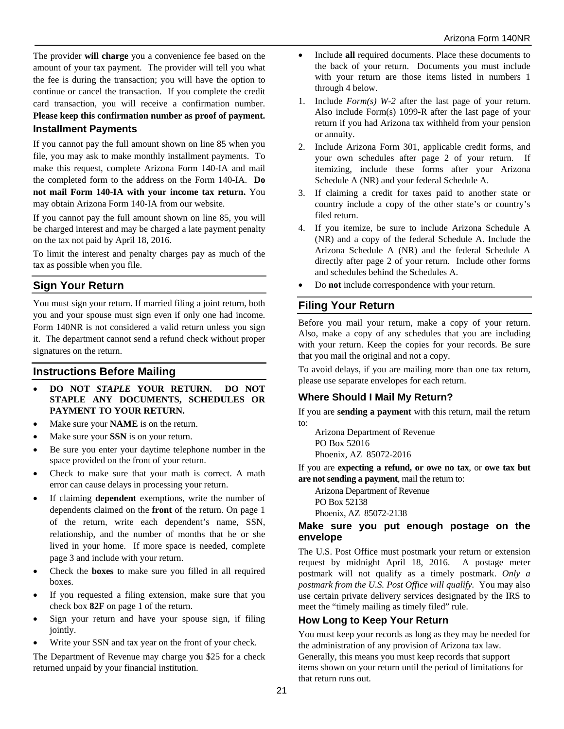The provider **will charge** you a convenience fee based on the amount of your tax payment. The provider will tell you what the fee is during the transaction; you will have the option to continue or cancel the transaction. If you complete the credit card transaction, you will receive a confirmation number. **Please keep this confirmation number as proof of payment.**

# **Installment Payments**

If you cannot pay the full amount shown on line 85 when you file, you may ask to make monthly installment payments. To make this request, complete Arizona Form 140-IA and mail the completed form to the address on the Form 140-IA. **Do not mail Form 140**-**IA with your income tax return.** You may obtain Arizona Form 140-IA from our website.

If you cannot pay the full amount shown on line 85, you will be charged interest and may be charged a late payment penalty on the tax not paid by April 18, 2016.

To limit the interest and penalty charges pay as much of the tax as possible when you file.

## **Sign Your Return**

You must sign your return. If married filing a joint return, both you and your spouse must sign even if only one had income. Form 140NR is not considered a valid return unless you sign it. The department cannot send a refund check without proper signatures on the return.

## **Instructions Before Mailing**

- **DO NOT** *STAPLE* **YOUR RETURN. DO NOT STAPLE ANY DOCUMENTS, SCHEDULES OR PAYMENT TO YOUR RETURN.**
- Make sure your **NAME** is on the return.
- Make sure your **SSN** is on your return.
- Be sure you enter your daytime telephone number in the space provided on the front of your return.
- Check to make sure that your math is correct. A math error can cause delays in processing your return.
- If claiming **dependent** exemptions, write the number of dependents claimed on the **front** of the return. On page 1 of the return, write each dependent's name, SSN, relationship, and the number of months that he or she lived in your home. If more space is needed, complete page 3 and include with your return.
- Check the **boxes** to make sure you filled in all required boxes.
- If you requested a filing extension, make sure that you check box **82F** on page 1 of the return.
- Sign your return and have your spouse sign, if filing jointly.
- Write your SSN and tax year on the front of your check.

The Department of Revenue may charge you \$25 for a check returned unpaid by your financial institution.

- Include all required documents. Place these documents to the back of your return. Documents you must include with your return are those items listed in numbers 1 through 4 below.
- 1. Include *Form(s) W-2* after the last page of your return. Also include Form(s) 1099-R after the last page of your return if you had Arizona tax withheld from your pension or annuity.
- 2. Include Arizona Form 301, applicable credit forms, and your own schedules after page 2 of your return. If itemizing, include these forms after your Arizona Schedule A (NR) and your federal Schedule A.
- 3. If claiming a credit for taxes paid to another state or country include a copy of the other state's or country's filed return.
- 4. If you itemize, be sure to include Arizona Schedule A (NR) and a copy of the federal Schedule A. Include the Arizona Schedule A (NR) and the federal Schedule A directly after page 2 of your return. Include other forms and schedules behind the Schedules A.
- Do **not** include correspondence with your return.

## **Filing Your Return**

Before you mail your return, make a copy of your return. Also, make a copy of any schedules that you are including with your return. Keep the copies for your records. Be sure that you mail the original and not a copy.

To avoid delays, if you are mailing more than one tax return, please use separate envelopes for each return.

## **Where Should I Mail My Return?**

If you are **sending a payment** with this return, mail the return to:

Arizona Department of Revenue PO Box 52016 Phoenix, AZ 85072-2016

If you are **expecting a refund, or owe no tax**, or **owe tax but are not sending a payment**, mail the return to:

Arizona Department of Revenue PO Box 52138 Phoenix, AZ 85072-2138

### **Make sure you put enough postage on the envelope**

The U.S. Post Office must postmark your return or extension request by midnight April 18, 2016. A postage meter postmark will not qualify as a timely postmark. *Only a postmark from the U.S. Post Office will qualify.* You may also use certain private delivery services designated by the IRS to meet the "timely mailing as timely filed" rule.

## **How Long to Keep Your Return**

You must keep your records as long as they may be needed for the administration of any provision of Arizona tax law. Generally, this means you must keep records that support items shown on your return until the period of limitations for that return runs out.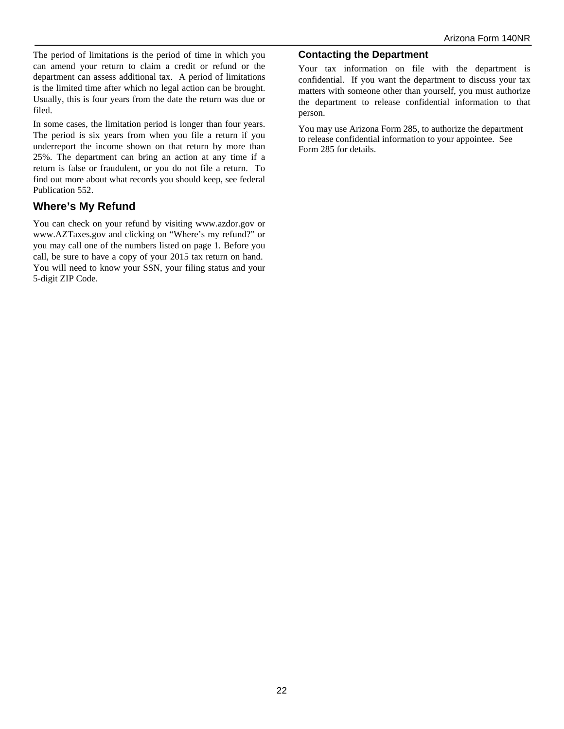The period of limitations is the period of time in which you can amend your return to claim a credit or refund or the department can assess additional tax. A period of limitations is the limited time after which no legal action can be brought. Usually, this is four years from the date the return was due or filed.

In some cases, the limitation period is longer than four years. The period is six years from when you file a return if you underreport the income shown on that return by more than 25%. The department can bring an action at any time if a return is false or fraudulent, or you do not file a return. To find out more about what records you should keep, see federal Publication 552.

## **Where's My Refund**

You can check on your refund by visiting www.azdor.gov or www.AZTaxes.gov and clicking on "Where's my refund?" or you may call one of the numbers listed on page 1. Before you call, be sure to have a copy of your 2015 tax return on hand. You will need to know your SSN, your filing status and your 5-digit ZIP Code.

#### **Contacting the Department**

Your tax information on file with the department is confidential. If you want the department to discuss your tax matters with someone other than yourself, you must authorize the department to release confidential information to that person.

You may use Arizona Form 285, to authorize the department to release confidential information to your appointee. See Form 285 for details.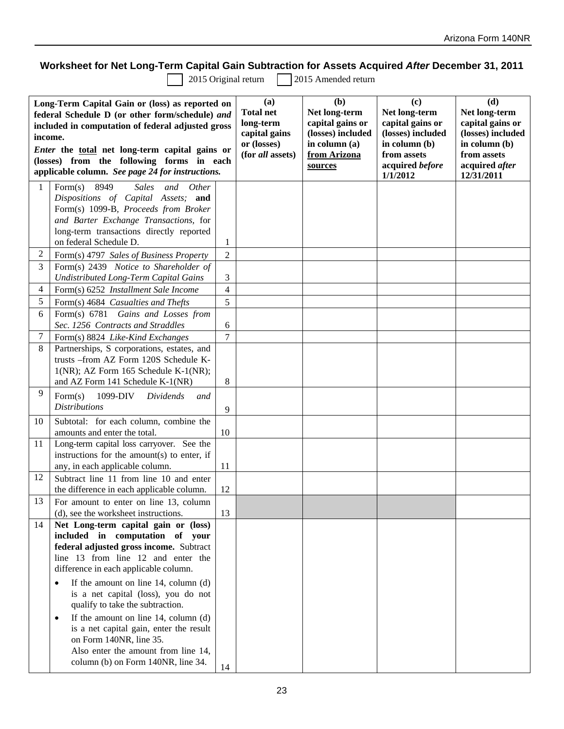## **Worksheet for Net Long-Term Capital Gain Subtraction for Assets Acquired** *After* **December 31, 2011**

2015 Original return 2015 Amended return

| Long-Term Capital Gain or (loss) as reported on<br>federal Schedule D (or other form/schedule) and<br>included in computation of federal adjusted gross<br>income.<br><i>Enter</i> the total net long-term capital gains or<br>(losses) from the following forms in each<br>applicable column. See page 24 for instructions. |                                                                                               | (a)<br><b>Total net</b><br>long-term<br>capital gains<br>or (losses)<br>(for all assets) | (b)<br>Net long-term<br>capital gains or<br>(losses) included<br>in column (a)<br>from Arizona<br>sources | (c)<br>Net long-term<br>capital gains or<br>(losses) included<br>in column (b)<br>from assets<br>acquired before<br>1/1/2012 | (d)<br>Net long-term<br>capital gains or<br>(losses) included<br>in column (b)<br>from assets<br>acquired after<br>12/31/2011 |  |
|------------------------------------------------------------------------------------------------------------------------------------------------------------------------------------------------------------------------------------------------------------------------------------------------------------------------------|-----------------------------------------------------------------------------------------------|------------------------------------------------------------------------------------------|-----------------------------------------------------------------------------------------------------------|------------------------------------------------------------------------------------------------------------------------------|-------------------------------------------------------------------------------------------------------------------------------|--|
| 1                                                                                                                                                                                                                                                                                                                            | Form(s)<br>8949<br><b>Sales</b><br>and<br><i>Other</i><br>Dispositions of Capital Assets; and |                                                                                          |                                                                                                           |                                                                                                                              |                                                                                                                               |  |
|                                                                                                                                                                                                                                                                                                                              | Form(s) 1099-B, Proceeds from Broker                                                          |                                                                                          |                                                                                                           |                                                                                                                              |                                                                                                                               |  |
|                                                                                                                                                                                                                                                                                                                              | and Barter Exchange Transactions, for                                                         |                                                                                          |                                                                                                           |                                                                                                                              |                                                                                                                               |  |
|                                                                                                                                                                                                                                                                                                                              | long-term transactions directly reported                                                      |                                                                                          |                                                                                                           |                                                                                                                              |                                                                                                                               |  |
|                                                                                                                                                                                                                                                                                                                              | on federal Schedule D.                                                                        | 1                                                                                        |                                                                                                           |                                                                                                                              |                                                                                                                               |  |
| 2                                                                                                                                                                                                                                                                                                                            | Form(s) 4797 Sales of Business Property                                                       | $\overline{2}$                                                                           |                                                                                                           |                                                                                                                              |                                                                                                                               |  |
| 3                                                                                                                                                                                                                                                                                                                            | Form(s) 2439 Notice to Shareholder of<br><b>Undistributed Long-Term Capital Gains</b>         | 3                                                                                        |                                                                                                           |                                                                                                                              |                                                                                                                               |  |
| 4                                                                                                                                                                                                                                                                                                                            | Form(s) 6252 Installment Sale Income                                                          | 4                                                                                        |                                                                                                           |                                                                                                                              |                                                                                                                               |  |
| 5                                                                                                                                                                                                                                                                                                                            | Form(s) 4684 Casualties and Thefts                                                            | 5                                                                                        |                                                                                                           |                                                                                                                              |                                                                                                                               |  |
| 6                                                                                                                                                                                                                                                                                                                            | Form(s) 6781 Gains and Losses from                                                            |                                                                                          |                                                                                                           |                                                                                                                              |                                                                                                                               |  |
|                                                                                                                                                                                                                                                                                                                              | Sec. 1256 Contracts and Straddles                                                             | 6                                                                                        |                                                                                                           |                                                                                                                              |                                                                                                                               |  |
| 7                                                                                                                                                                                                                                                                                                                            | Form(s) 8824 Like-Kind Exchanges                                                              | 7                                                                                        |                                                                                                           |                                                                                                                              |                                                                                                                               |  |
| 8                                                                                                                                                                                                                                                                                                                            | Partnerships, S corporations, estates, and                                                    |                                                                                          |                                                                                                           |                                                                                                                              |                                                                                                                               |  |
|                                                                                                                                                                                                                                                                                                                              | trusts -- from AZ Form 120S Schedule K-                                                       |                                                                                          |                                                                                                           |                                                                                                                              |                                                                                                                               |  |
|                                                                                                                                                                                                                                                                                                                              | $1(NR)$ ; AZ Form 165 Schedule K- $1(NR)$ ;                                                   |                                                                                          |                                                                                                           |                                                                                                                              |                                                                                                                               |  |
|                                                                                                                                                                                                                                                                                                                              | and AZ Form 141 Schedule K-1(NR)                                                              | 8                                                                                        |                                                                                                           |                                                                                                                              |                                                                                                                               |  |
| 9                                                                                                                                                                                                                                                                                                                            | Form(s)<br>1099-DIV<br>Dividends<br>and                                                       |                                                                                          |                                                                                                           |                                                                                                                              |                                                                                                                               |  |
|                                                                                                                                                                                                                                                                                                                              | <b>Distributions</b>                                                                          | 9                                                                                        |                                                                                                           |                                                                                                                              |                                                                                                                               |  |
| 10                                                                                                                                                                                                                                                                                                                           | Subtotal: for each column, combine the                                                        |                                                                                          |                                                                                                           |                                                                                                                              |                                                                                                                               |  |
|                                                                                                                                                                                                                                                                                                                              | amounts and enter the total.                                                                  | 10                                                                                       |                                                                                                           |                                                                                                                              |                                                                                                                               |  |
| 11                                                                                                                                                                                                                                                                                                                           | Long-term capital loss carryover. See the<br>instructions for the amount(s) to enter, if      |                                                                                          |                                                                                                           |                                                                                                                              |                                                                                                                               |  |
|                                                                                                                                                                                                                                                                                                                              | any, in each applicable column.                                                               | 11                                                                                       |                                                                                                           |                                                                                                                              |                                                                                                                               |  |
| 12                                                                                                                                                                                                                                                                                                                           | Subtract line 11 from line 10 and enter                                                       |                                                                                          |                                                                                                           |                                                                                                                              |                                                                                                                               |  |
|                                                                                                                                                                                                                                                                                                                              | the difference in each applicable column.                                                     | 12                                                                                       |                                                                                                           |                                                                                                                              |                                                                                                                               |  |
| 13                                                                                                                                                                                                                                                                                                                           | For amount to enter on line 13, column                                                        |                                                                                          |                                                                                                           |                                                                                                                              |                                                                                                                               |  |
|                                                                                                                                                                                                                                                                                                                              | (d), see the worksheet instructions.                                                          | 13                                                                                       |                                                                                                           |                                                                                                                              |                                                                                                                               |  |
| 14                                                                                                                                                                                                                                                                                                                           | Net Long-term capital gain or (loss)                                                          |                                                                                          |                                                                                                           |                                                                                                                              |                                                                                                                               |  |
|                                                                                                                                                                                                                                                                                                                              | included in computation of your                                                               |                                                                                          |                                                                                                           |                                                                                                                              |                                                                                                                               |  |
|                                                                                                                                                                                                                                                                                                                              | federal adjusted gross income. Subtract                                                       |                                                                                          |                                                                                                           |                                                                                                                              |                                                                                                                               |  |
|                                                                                                                                                                                                                                                                                                                              | line 13 from line 12 and enter the<br>difference in each applicable column.                   |                                                                                          |                                                                                                           |                                                                                                                              |                                                                                                                               |  |
|                                                                                                                                                                                                                                                                                                                              |                                                                                               |                                                                                          |                                                                                                           |                                                                                                                              |                                                                                                                               |  |
|                                                                                                                                                                                                                                                                                                                              | If the amount on line $14$ , column (d)<br>is a net capital (loss), you do not                |                                                                                          |                                                                                                           |                                                                                                                              |                                                                                                                               |  |
|                                                                                                                                                                                                                                                                                                                              | qualify to take the subtraction.                                                              |                                                                                          |                                                                                                           |                                                                                                                              |                                                                                                                               |  |
|                                                                                                                                                                                                                                                                                                                              | If the amount on line 14, column (d)                                                          |                                                                                          |                                                                                                           |                                                                                                                              |                                                                                                                               |  |
|                                                                                                                                                                                                                                                                                                                              | is a net capital gain, enter the result                                                       |                                                                                          |                                                                                                           |                                                                                                                              |                                                                                                                               |  |
|                                                                                                                                                                                                                                                                                                                              | on Form 140NR, line 35.                                                                       |                                                                                          |                                                                                                           |                                                                                                                              |                                                                                                                               |  |
|                                                                                                                                                                                                                                                                                                                              | Also enter the amount from line 14,                                                           |                                                                                          |                                                                                                           |                                                                                                                              |                                                                                                                               |  |
|                                                                                                                                                                                                                                                                                                                              | column (b) on Form 140NR, line 34.                                                            | 14                                                                                       |                                                                                                           |                                                                                                                              |                                                                                                                               |  |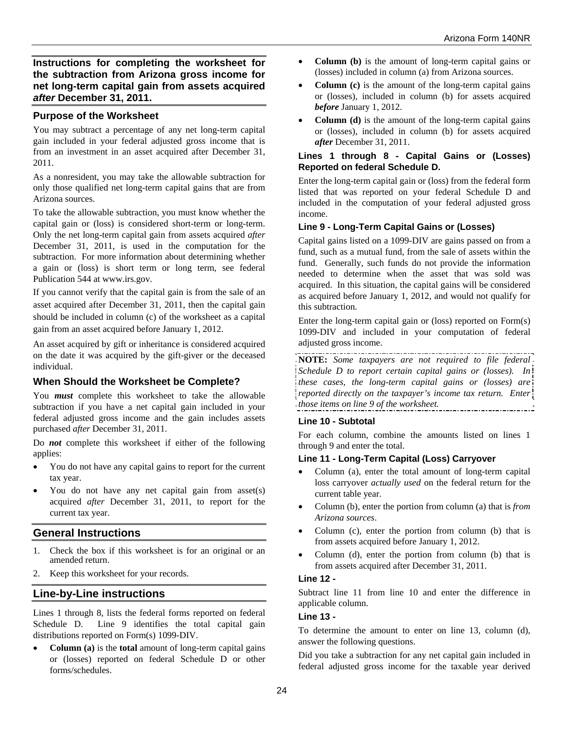**Instructions for completing the worksheet for the subtraction from Arizona gross income for net long-term capital gain from assets acquired**  *after* **December 31, 2011.**

### **Purpose of the Worksheet**

You may subtract a percentage of any net long-term capital gain included in your federal adjusted gross income that is from an investment in an asset acquired after December 31, 2011.

As a nonresident, you may take the allowable subtraction for only those qualified net long-term capital gains that are from Arizona sources.

To take the allowable subtraction, you must know whether the capital gain or (loss) is considered short-term or long-term. Only the net long-term capital gain from assets acquired *after*  December 31, 2011, is used in the computation for the subtraction. For more information about determining whether a gain or (loss) is short term or long term, see federal Publication 544 at www.irs.gov.

If you cannot verify that the capital gain is from the sale of an asset acquired after December 31, 2011, then the capital gain should be included in column (c) of the worksheet as a capital gain from an asset acquired before January 1, 2012.

An asset acquired by gift or inheritance is considered acquired on the date it was acquired by the gift-giver or the deceased individual.

## **When Should the Worksheet be Complete?**

You *must* complete this worksheet to take the allowable subtraction if you have a net capital gain included in your federal adjusted gross income and the gain includes assets purchased *after* December 31, 2011.

Do *not* complete this worksheet if either of the following applies:

- You do not have any capital gains to report for the current tax year.
- You do not have any net capital gain from asset(s) acquired *after* December 31, 2011, to report for the current tax year.

## **General Instructions**

- 1. Check the box if this worksheet is for an original or an amended return.
- 2. Keep this worksheet for your records.

## **Line-by-Line instructions**

Lines 1 through 8, lists the federal forms reported on federal Schedule D. Line 9 identifies the total capital gain distributions reported on Form(s) 1099-DIV.

 **Column (a)** is the **total** amount of long-term capital gains or (losses) reported on federal Schedule D or other forms/schedules.

- **Column (b)** is the amount of long-term capital gains or (losses) included in column (a) from Arizona sources.
- **Column (c)** is the amount of the long-term capital gains or (losses), included in column (b) for assets acquired *before* January 1, 2012.
- **Column (d)** is the amount of the long-term capital gains or (losses), included in column (b) for assets acquired *after* December 31, 2011.

#### **Lines 1 through 8 - Capital Gains or (Losses) Reported on federal Schedule D.**

Enter the long-term capital gain or (loss) from the federal form listed that was reported on your federal Schedule D and included in the computation of your federal adjusted gross income.

### **Line 9 - Long-Term Capital Gains or (Losses)**

Capital gains listed on a 1099-DIV are gains passed on from a fund, such as a mutual fund, from the sale of assets within the fund. Generally, such funds do not provide the information needed to determine when the asset that was sold was acquired. In this situation, the capital gains will be considered as acquired before January 1, 2012, and would not qualify for this subtraction.

Enter the long-term capital gain or (loss) reported on Form(s) 1099-DIV and included in your computation of federal adjusted gross income.

**NOTE:** *Some taxpayers are not required to file federal Schedule D to report certain capital gains or (losses). In these cases, the long-term capital gains or (losses) are reported directly on the taxpayer's income tax return. Enter those items on line 9 of the worksheet.* 

### **Line 10 - Subtotal**

For each column, combine the amounts listed on lines 1 through 9 and enter the total.

### **Line 11 - Long-Term Capital (Loss) Carryover**

- Column (a), enter the total amount of long-term capital loss carryover *actually used* on the federal return for the current table year.
- Column (b), enter the portion from column (a) that is *from Arizona sources*.
- Column (c), enter the portion from column (b) that is from assets acquired before January 1, 2012.
- Column (d), enter the portion from column (b) that is from assets acquired after December 31, 2011.

#### **Line 12 -**

Subtract line 11 from line 10 and enter the difference in applicable column.

#### **Line 13 -**

To determine the amount to enter on line 13, column (d), answer the following questions.

Did you take a subtraction for any net capital gain included in federal adjusted gross income for the taxable year derived